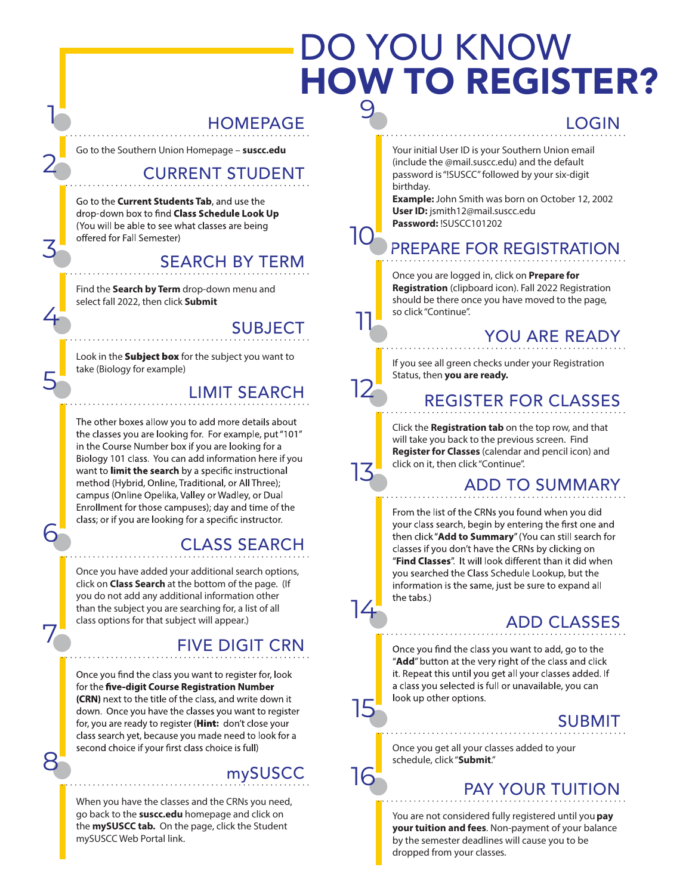## DO YOU KNOW HOW TO REGISTER? 9

#### HOMEPAGE

Go to the Southern Union Homepage – **suscc.edu** 

1

2

3

4

5

6

7

8

### CURRENT STUDENT

Go to the **Current Students Tab**, and use the drop-down box to find Class Schedule Look Up (You will be able to see what classes are being offered for Fall Semester)

### SEARCH BY TERM

Find the **Search by Term** drop-down menu and select fall 2022, then click **Submit** 

#### SUBJECT

10

11

12

13

14

15

16

Look in the **Subject box** for the subject you want to take (Biology for example)

## LIMIT SEARCH

The other boxes allow you to add more details about the classes you are looking for. For example, put "101" in the Course Number box if you are looking for a Biology 101 class. You can add information here if you want to limit the search by a specific instructional method (Hybrid, Online, Traditional, or All Three); campus (Online Opelika, Valley or Wadley, or Dual Enrollment for those campuses); day and time of the class; or if you are looking for a specific instructor.

## CLASS SEARCH

Once you have added your additional search options, click on **Class Search** at the bottom of the page. (If you do not add any additional information other than the subject you are searching for, a list of all class options for that subject will appear.)

### FIVE DIGIT CRN

Once you find the class you want to register for, look for the five-digit Course Registration Number (CRN) next to the title of the class, and write down it down. Once you have the classes you want to register for, you are ready to register (Hint: don't close your class search yet, because you made need to look for a second choice if your first class choice is full)

## mySUSCC

When you have the classes and the CRNs you need, go back to the **suscc.edu** homepage and click on the **mySUSCC tab.** On the page, click the Student mySUSCC Web Portal link.

#### LOGIN

Your initial User ID is your Southern Union email (include the @mail.suscc.edu) and the default password is "!SUSCC" followed by your six-digit birthday.

**Example:** John Smith was born on October 12, 2002 **User ID:** jsmith12@mail.suscc.edu **Password:** !SUSCC101202

## PREPARE FOR REGISTRATION

Once you are logged in, click on **Prepare for Registration** (clipboard icon). Fall 2022 Registration should be there once you have moved to the page, so click "Continue".

## YOU ARE READY

If you see all green checks under your Registration Status, then **you are ready.** 

## REGISTER FOR CLASSES

Click the **Registration tab** on the top row, and that will take you back to the previous screen. Find **Register for Classes** (calendar and pencil icon) and click on it, then click "Continue".

### ADD TO SUMMARY

From the list of the CRNs you found when you did your class search, begin by entering the first one and then click "Add to Summary" (You can still search for classes if you don't have the CRNs by clicking on "Find Classes". It will look different than it did when you searched the Class Schedule Lookup, but the information is the same, just be sure to expand all the tabs.)

## ADD CLASSES

Once you find the class you want to add, go to the "Add" button at the very right of the class and click it. Repeat this until you get all your classes added. If a class you selected is full or unavailable, you can look up other options.

### SUBMIT

Once you get all your classes added to your schedule, click "**Submit**."

## PAY YOUR TUITION

You are not considered fully registered until you **pay your tuition and fees**. Non-payment of your balance by the semester deadlines will cause you to be dropped from your classes.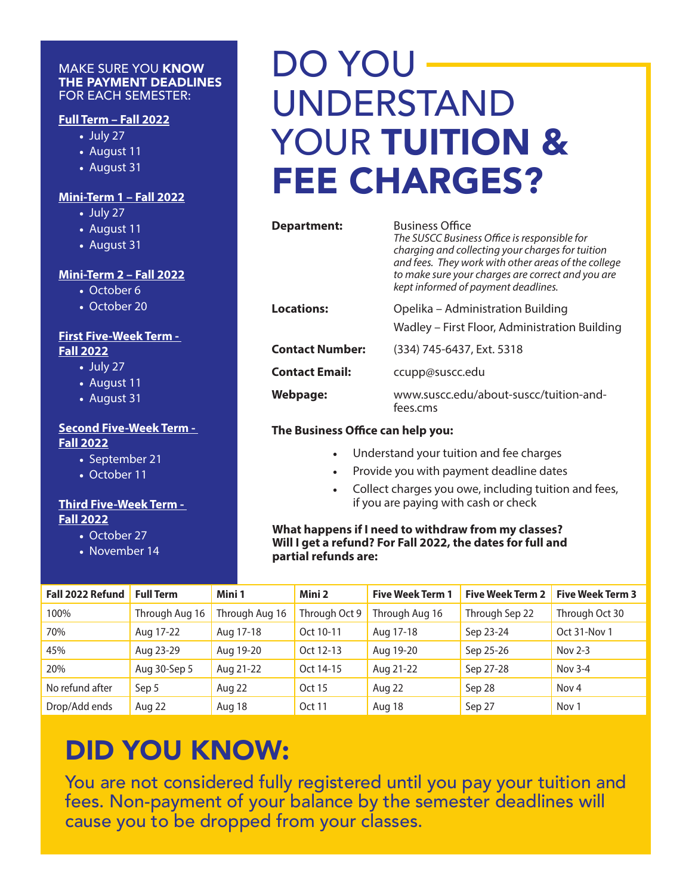#### MAKE SURE YOU KNOW THE PAYMENT DEADLINES FOR EACH SEMESTER:

#### **Full Term – Fall 2022**

- July 27
- August 11
- August 31

#### **Mini-Term 1 – Fall 2022**

- July 27
- August 11
- August 31

#### **Mini-Term 2 – Fall 2022**

- October 6
- October 20

#### **First Five-Week Term - Fall 2022**

- July 27
- August 11
- August 31

#### **Second Five-Week Term - Fall 2022**

- September 21
- October 11

#### **Third Five-Week Term - Fall 2022**

- October 27
- November 14

## DO YOU UNDERSTAND YOUR TUITION & FEE CHARGES?

| Department:            | <b>Business Office</b><br>The SUSCC Business Office is responsible for<br>charging and collecting your charges for tuition<br>and fees. They work with other areas of the college<br>to make sure your charges are correct and you are<br>kept informed of payment deadlines. |
|------------------------|-------------------------------------------------------------------------------------------------------------------------------------------------------------------------------------------------------------------------------------------------------------------------------|
| <b>Locations:</b>      | Opelika - Administration Building<br>Wadley - First Floor, Administration Building                                                                                                                                                                                            |
| <b>Contact Number:</b> | (334) 745-6437, Ext. 5318                                                                                                                                                                                                                                                     |
| <b>Contact Email:</b>  | ccupp@suscc.edu                                                                                                                                                                                                                                                               |
| Webpage:               | www.suscc.edu/about-suscc/tuition-and-<br>fees.cms                                                                                                                                                                                                                            |

#### **The Business Office can help you:**

- Understand your tuition and fee charges
- Provide you with payment deadline dates
- Collect charges you owe, including tuition and fees, if you are paying with cash or check

**What happens if I need to withdraw from my classes? Will I get a refund? For Fall 2022, the dates for full and partial refunds are:**

| Fall 2022 Refund | <b>Full Term</b> | Mini 1         | Mini 2        | <b>Five Week Term 1</b> | <b>Five Week Term 2</b> | <b>Five Week Term 3</b> |
|------------------|------------------|----------------|---------------|-------------------------|-------------------------|-------------------------|
| 100%             | Through Aug 16   | Through Aug 16 | Through Oct 9 | Through Aug 16          | Through Sep 22          | Through Oct 30          |
| 70%              | Aug 17-22        | Aug 17-18      | Oct 10-11     | Aug 17-18               | Sep 23-24               | Oct 31-Nov 1            |
| 45%              | Aug 23-29        | Aug 19-20      | Oct 12-13     | Aug 19-20               | Sep 25-26               | Nov $2-3$               |
| 20%              | Aug 30-Sep 5     | Aug 21-22      | Oct 14-15     | Aug 21-22               | Sep 27-28               | Nov 3-4                 |
| No refund after  | Sep 5            | Aug 22         | Oct 15        | Aug 22                  | Sep 28                  | Nov <sub>4</sub>        |
| Drop/Add ends    | Aug 22           | Aug 18         | Oct 11        | Aug 18                  | Sep 27                  | Nov 1                   |

## DID YOU KNOW:

You are not considered fully registered until you pay your tuition and fees. Non-payment of your balance by the semester deadlines will cause you to be dropped from your classes.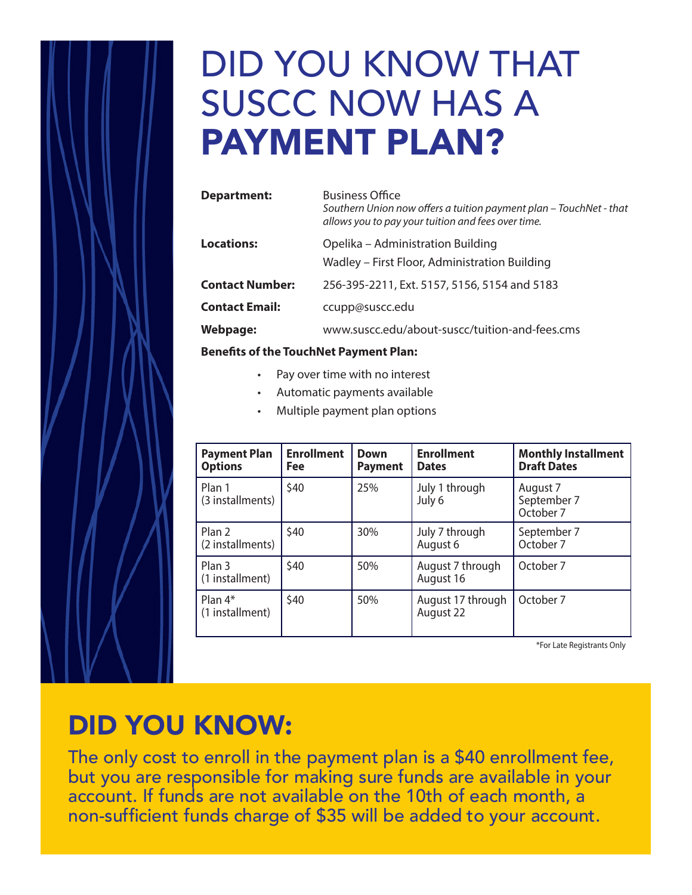# DID YOU KNOW THAT SUSCC NOW HAS A PAYMENT PLAN?

| Department:            | <b>Business Office</b><br>Southern Union now offers a tuition payment plan - TouchNet - that<br>allows you to pay your tuition and fees over time. |
|------------------------|----------------------------------------------------------------------------------------------------------------------------------------------------|
| <b>Locations:</b>      | Opelika – Administration Building                                                                                                                  |
|                        | Wadley – First Floor, Administration Building                                                                                                      |
| <b>Contact Number:</b> | 256-395-2211, Ext. 5157, 5156, 5154 and 5183                                                                                                       |
| <b>Contact Email:</b>  | ccupp@suscc.edu                                                                                                                                    |
| <b>Webpage:</b>        | www.suscc.edu/about-suscc/tuition-and-fees.cms                                                                                                     |
|                        |                                                                                                                                                    |

#### **Benefits of the TouchNet Payment Plan:**

- Pay over time with no interest
- Automatic payments available
- Multiple payment plan options

| <b>Payment Plan</b><br><b>Options</b> | <b>Enrollment</b><br><b>Fee</b> | <b>Down</b><br><b>Payment</b> | <b>Enrollment</b><br><b>Dates</b> | <b>Monthly Installment</b><br><b>Draft Dates</b> |
|---------------------------------------|---------------------------------|-------------------------------|-----------------------------------|--------------------------------------------------|
| Plan 1<br>(3 installments)            | \$40                            | 25%                           | July 1 through<br>July 6          | August 7<br>September 7<br>October 7             |
| Plan 2<br>(2 installments)            | \$40                            | 30%                           | July 7 through<br>August 6        | September 7<br>October 7                         |
| Plan <sub>3</sub><br>(1 installment)  | \$40                            | 50%                           | August 7 through<br>August 16     | October 7                                        |
| Plan $4*$<br>(1 installment)          | \$40                            | 50%                           | August 17 through<br>August 22    | October 7                                        |

\*For Late Registrants Only

## DID YOU KNOW:

The only cost to enroll in the payment plan is a \$40 enrollment fee, but you are responsible for making sure funds are available in your account. If funds are not available on the 10th of each month, a non-sufficient funds charge of \$35 will be added to your account.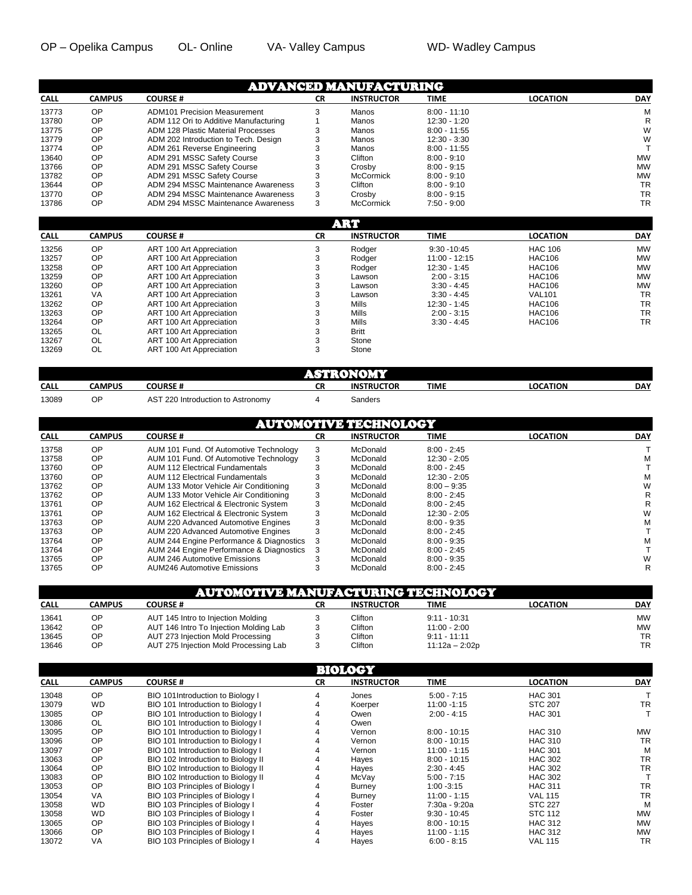| <b>CALL</b> | <b>CAMPUS</b> | <b>COURSE#</b>                        | <b>CR</b> | <b>INSTRUCTOR</b> | TIME           | <b>LOCATION</b> | <b>DAY</b> |
|-------------|---------------|---------------------------------------|-----------|-------------------|----------------|-----------------|------------|
| 13773       | OP            | <b>ADM101 Precision Measurement</b>   |           | Manos             | $8:00 - 11:10$ |                 | М          |
| 13780       | OP            | ADM 112 Ori to Additive Manufacturing |           | Manos             | $12:30 - 1:20$ |                 | R          |
| 13775       | OP            | ADM 128 Plastic Material Processes    |           | Manos             | $8:00 - 11:55$ |                 | W          |
| 13779       | OP            | ADM 202 Introduction to Tech. Design  |           | Manos             | $12:30 - 3:30$ |                 | W          |
| 13774       | OP            | ADM 261 Reverse Engineering           |           | Manos             | $8:00 - 11:55$ |                 |            |
| 13640       | OP            | ADM 291 MSSC Safety Course            |           | Clifton           | $8:00 - 9:10$  |                 | <b>MW</b>  |
| 13766       | OP            | ADM 291 MSSC Safety Course            |           | Crosby            | $8:00 - 9:15$  |                 | <b>MW</b>  |
| 13782       | OP            | ADM 291 MSSC Safety Course            |           | <b>McCormick</b>  | $8:00 - 9:10$  |                 | <b>MW</b>  |
| 13644       | OP            | ADM 294 MSSC Maintenance Awareness    |           | Clifton           | $8:00 - 9:10$  |                 | <b>TR</b>  |
| 13770       | OP            | ADM 294 MSSC Maintenance Awareness    | 3         | Crosby            | $8:00 - 9:15$  |                 | <b>TR</b>  |
| 13786       | OP            | ADM 294 MSSC Maintenance Awareness    | 3         | <b>McCormick</b>  | $7:50 - 9:00$  |                 | <b>TR</b>  |

|             | star i        |                          |           |                   |                 |                 |            |  |  |
|-------------|---------------|--------------------------|-----------|-------------------|-----------------|-----------------|------------|--|--|
| <b>CALL</b> | <b>CAMPUS</b> | <b>COURSE#</b>           | <b>CR</b> | <b>INSTRUCTOR</b> | <b>TIME</b>     | <b>LOCATION</b> | <b>DAY</b> |  |  |
| 13256       | <b>OP</b>     | ART 100 Art Appreciation | 3         | Rodger            | $9:30 - 10:45$  | <b>HAC 106</b>  | <b>MW</b>  |  |  |
| 13257       | <b>OP</b>     | ART 100 Art Appreciation |           | Rodaer            | $11:00 - 12:15$ | <b>HAC106</b>   | <b>MW</b>  |  |  |
| 13258       | <b>OP</b>     | ART 100 Art Appreciation | 3         | Rodger            | $12:30 - 1:45$  | <b>HAC106</b>   | <b>MW</b>  |  |  |
| 13259       | <b>OP</b>     | ART 100 Art Appreciation |           | Lawson            | $2:00 - 3:15$   | <b>HAC106</b>   | <b>MW</b>  |  |  |
| 13260       | <b>OP</b>     | ART 100 Art Appreciation | 3         | Lawson            | $3:30 - 4:45$   | <b>HAC106</b>   | <b>MW</b>  |  |  |
| 13261       | VA            | ART 100 Art Appreciation | 3         | Lawson            | $3:30 - 4:45$   | <b>VAL101</b>   | <b>TR</b>  |  |  |
| 13262       | <b>OP</b>     | ART 100 Art Appreciation |           | Mills             | $12:30 - 1:45$  | <b>HAC106</b>   | <b>TR</b>  |  |  |
| 13263       | <b>OP</b>     | ART 100 Art Appreciation |           | Mills             | $2:00 - 3:15$   | <b>HAC106</b>   | <b>TR</b>  |  |  |
| 13264       | <b>OP</b>     | ART 100 Art Appreciation |           | Mills             | $3:30 - 4:45$   | <b>HAC106</b>   | <b>TR</b>  |  |  |
| 13265       | OL            | ART 100 Art Appreciation |           | <b>Britt</b>      |                 |                 |            |  |  |
| 13267       | OL            | ART 100 Art Appreciation |           | Stone             |                 |                 |            |  |  |
| 13269       | OL            | ART 100 Art Appreciation | 3         | Stone             |                 |                 |            |  |  |

|             | $\sim$        |                                                    |          |                   |      |                 |            |  |
|-------------|---------------|----------------------------------------------------|----------|-------------------|------|-----------------|------------|--|
| <b>CALL</b> | <b>CAMPUS</b> | <b>COURSE#</b>                                     | cп<br>◡∩ | <b>INSTRUCTOR</b> | TIME | <b>LOCATION</b> | <b>DAY</b> |  |
| 13089       | ОP            | $AS^{\mathsf{T}}$<br>220 Introduction to Astronomy |          | Sanders           |      |                 |            |  |

|       | AUTOMOTIVE TECHNOLOGY |                                          |    |                   |                |                 |            |  |  |
|-------|-----------------------|------------------------------------------|----|-------------------|----------------|-----------------|------------|--|--|
| CALL  | <b>CAMPUS</b>         | <b>COURSE#</b>                           | СR | <b>INSTRUCTOR</b> | <b>TIME</b>    | <b>LOCATION</b> | <b>DAY</b> |  |  |
| 13758 | <b>OP</b>             | AUM 101 Fund. Of Automotive Technology   | 3  | McDonald          | $8:00 - 2:45$  |                 |            |  |  |
| 13758 | <b>OP</b>             | AUM 101 Fund. Of Automotive Technology   | 3  | McDonald          | 12:30 - 2:05   |                 | М          |  |  |
| 13760 | <b>OP</b>             | <b>AUM 112 Electrical Fundamentals</b>   |    | McDonald          | $8:00 - 2:45$  |                 |            |  |  |
| 13760 | OP                    | <b>AUM 112 Electrical Fundamentals</b>   |    | McDonald          | $12:30 - 2:05$ |                 | М          |  |  |
| 13762 | <b>OP</b>             | AUM 133 Motor Vehicle Air Conditioning   |    | McDonald          | $8:00 - 9:35$  |                 | W          |  |  |
| 13762 | OP                    | AUM 133 Motor Vehicle Air Conditioning   | 3  | McDonald          | $8:00 - 2:45$  |                 | R          |  |  |
| 13761 | OP                    | AUM 162 Electrical & Electronic System   | 3  | McDonald          | $8:00 - 2:45$  |                 | R          |  |  |
| 13761 | <b>OP</b>             | AUM 162 Electrical & Electronic System   |    | McDonald          | 12:30 - 2:05   |                 | W          |  |  |
| 13763 | <b>OP</b>             | AUM 220 Advanced Automotive Engines      | 3  | McDonald          | $8:00 - 9:35$  |                 | М          |  |  |
| 13763 | OP                    | AUM 220 Advanced Automotive Engines      | 3  | McDonald          | $8:00 - 2:45$  |                 |            |  |  |
| 13764 | OP                    | AUM 244 Engine Performance & Diagnostics |    | McDonald          | $8:00 - 9:35$  |                 | М          |  |  |
| 13764 | OP                    | AUM 244 Engine Performance & Diagnostics |    | McDonald          | $8:00 - 2:45$  |                 |            |  |  |
| 13765 | <b>OP</b>             | <b>AUM 246 Automotive Emissions</b>      |    | McDonald          | $8:00 - 9:35$  |                 | W          |  |  |
| 13765 | OP                    | <b>AUM246 Automotive Emissions</b>       |    | McDonald          | $8:00 - 2:45$  |                 | R          |  |  |

|             | <b>AUTOMOTIVE MANUFACTURING TECHNOLOGY</b> |                                        |    |                   |                  |                 |            |  |  |
|-------------|--------------------------------------------|----------------------------------------|----|-------------------|------------------|-----------------|------------|--|--|
| <b>CALL</b> | <b>CAMPUS</b>                              | <b>COURSE #</b>                        | СR | <b>INSTRUCTOR</b> | TIME             | <b>LOCATION</b> | <b>DAY</b> |  |  |
| 13641       | OΡ                                         | AUT 145 Intro to Injection Molding     |    | Clifton           | $9:11 - 10:31$   |                 | MW         |  |  |
| 13642       | ОP                                         | AUT 146 Intro To Injection Molding Lab |    | Clifton           | $11:00 - 2:00$   |                 | MW         |  |  |
| 13645       | ОP                                         | AUT 273 Injection Mold Processing      |    | Clifton           | $9:11 - 11:11$   |                 | <b>TR</b>  |  |  |
| 13646       | ОP                                         | AUT 275 Injection Mold Processing Lab  |    | Clifton           | $11:12a - 2:02p$ |                 | TR         |  |  |

|             |               |                                    |           | BIOLOGY           |                |                 |            |
|-------------|---------------|------------------------------------|-----------|-------------------|----------------|-----------------|------------|
| <b>CALL</b> | <b>CAMPUS</b> | <b>COURSE#</b>                     | <b>CR</b> | <b>INSTRUCTOR</b> | <b>TIME</b>    | <b>LOCATION</b> | <b>DAY</b> |
| 13048       | OP            | BIO 101Introduction to Biology I   |           | Jones             | $5:00 - 7:15$  | <b>HAC 301</b>  |            |
| 13079       | <b>WD</b>     | BIO 101 Introduction to Biology I  |           | Koerper           | $11:00 - 1:15$ | <b>STC 207</b>  | <b>TR</b>  |
| 13085       | <b>OP</b>     | BIO 101 Introduction to Biology I  |           | Owen              | $2:00 - 4:15$  | <b>HAC 301</b>  |            |
| 13086       | OL            | BIO 101 Introduction to Biology I  |           | Owen              |                |                 |            |
| 13095       | OP            | BIO 101 Introduction to Biology I  |           | Vernon            | $8:00 - 10:15$ | <b>HAC 310</b>  | <b>MW</b>  |
| 13096       | <b>OP</b>     | BIO 101 Introduction to Biology I  |           | Vernon            | $8:00 - 10:15$ | <b>HAC 310</b>  | <b>TR</b>  |
| 13097       | OP            | BIO 101 Introduction to Biology I  |           | Vernon            | $11:00 - 1:15$ | <b>HAC 301</b>  | М          |
| 13063       | <b>OP</b>     | BIO 102 Introduction to Biology II |           | Hayes             | $8:00 - 10:15$ | <b>HAC 302</b>  | <b>TR</b>  |
| 13064       | OP            | BIO 102 Introduction to Biology II |           | Hayes             | $2:30 - 4:45$  | <b>HAC 302</b>  | <b>TR</b>  |
| 13083       | OP            | BIO 102 Introduction to Biology II |           | McVay             | $5:00 - 7:15$  | <b>HAC 302</b>  |            |
| 13053       | OP            | BIO 103 Principles of Biology I    |           | Burney            | $1:00 - 3:15$  | <b>HAC 311</b>  | <b>TR</b>  |
| 13054       | VA            | BIO 103 Principles of Biology I    |           | Burney            | $11:00 - 1:15$ | <b>VAL 115</b>  | <b>TR</b>  |
| 13058       | <b>WD</b>     | BIO 103 Principles of Biology I    |           | Foster            | 7:30a - 9:20a  | <b>STC 227</b>  | М          |
| 13058       | <b>WD</b>     | BIO 103 Principles of Biology I    |           | Foster            | $9:30 - 10:45$ | <b>STC 112</b>  | <b>MW</b>  |
| 13065       | OP            | BIO 103 Principles of Biology I    |           | Hayes             | $8:00 - 10:15$ | <b>HAC 312</b>  | <b>MW</b>  |
| 13066       | <b>OP</b>     | BIO 103 Principles of Biology I    |           | Hayes             | $11:00 - 1:15$ | <b>HAC 312</b>  | <b>MW</b>  |
| 13072       | VA            | BIO 103 Principles of Biology I    | 4         | Hayes             | $6:00 - 8:15$  | <b>VAL 115</b>  | <b>TR</b>  |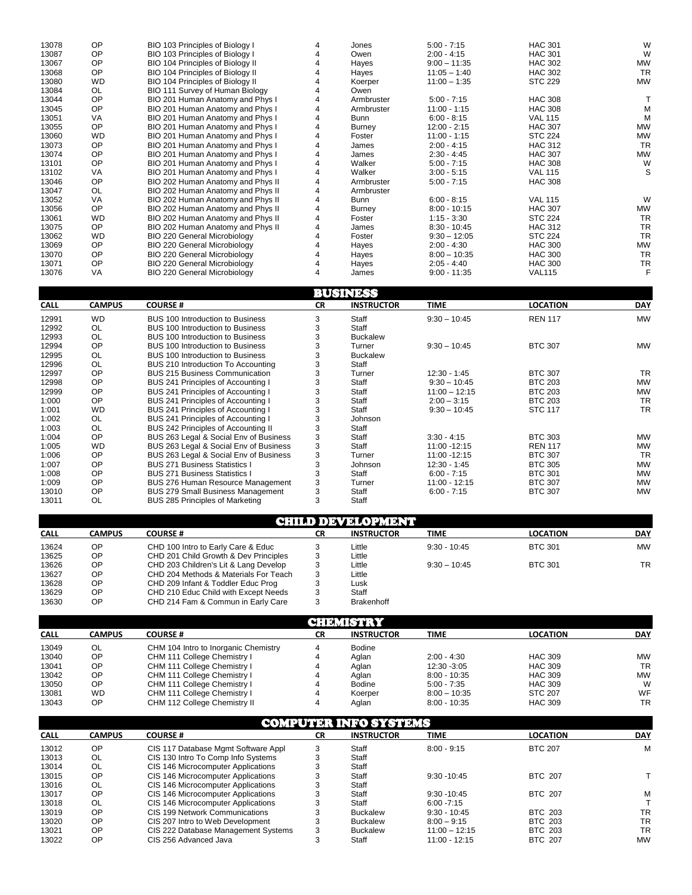| 13078 | OP        | BIO 103 Principles of Biology I     |   | Jones         | $5:00 - 7:15$  | <b>HAC 301</b> | W         |
|-------|-----------|-------------------------------------|---|---------------|----------------|----------------|-----------|
| 13087 | <b>OP</b> | BIO 103 Principles of Biology I     |   | Owen          | $2:00 - 4:15$  | <b>HAC 301</b> | W         |
| 13067 | <b>OP</b> | BIO 104 Principles of Biology II    |   | Hayes         | $9:00 - 11:35$ | <b>HAC 302</b> | <b>MW</b> |
| 13068 | OP        | BIO 104 Principles of Biology II    |   | Hayes         | $11:05 - 1:40$ | <b>HAC 302</b> | <b>TR</b> |
| 13080 | <b>WD</b> | BIO 104 Principles of Biology II    |   | Koerper       | $11:00 - 1:35$ | <b>STC 229</b> | <b>MW</b> |
| 13084 | OL.       | BIO 111 Survey of Human Biology     |   | Owen          |                |                |           |
| 13044 | <b>OP</b> | BIO 201 Human Anatomy and Phys I    |   | Armbruster    | $5:00 - 7:15$  | <b>HAC 308</b> |           |
| 13045 | <b>OP</b> | BIO 201 Human Anatomy and Phys I    |   | Armbruster    | $11:00 - 1:15$ | <b>HAC 308</b> | М         |
| 13051 | VA        | BIO 201 Human Anatomy and Phys I    |   | <b>Bunn</b>   | $6:00 - 8:15$  | <b>VAL 115</b> | М         |
| 13055 | <b>OP</b> | BIO 201 Human Anatomy and Phys I    | 4 | Burney        | $12:00 - 2:15$ | <b>HAC 307</b> | <b>MW</b> |
| 13060 | <b>WD</b> | BIO 201 Human Anatomy and Phys I    |   | Foster        | $11:00 - 1:15$ | <b>STC 224</b> | <b>MW</b> |
| 13073 | <b>OP</b> | BIO 201 Human Anatomy and Phys I    |   | James         | $2:00 - 4:15$  | <b>HAC 312</b> | <b>TR</b> |
| 13074 | OP        | BIO 201 Human Anatomy and Phys I    |   | James         | $2:30 - 4:45$  | <b>HAC 307</b> | <b>MW</b> |
| 13101 | <b>OP</b> | BIO 201 Human Anatomy and Phys I    |   | Walker        | $5:00 - 7:15$  | <b>HAC 308</b> | W         |
| 13102 | VA        | BIO 201 Human Anatomy and Phys I    |   | Walker        | $3:00 - 5:15$  | <b>VAL 115</b> | S         |
| 13046 | <b>OP</b> | BIO 202 Human Anatomy and Phys II   | 4 | Armbruster    | $5:00 - 7:15$  | <b>HAC 308</b> |           |
| 13047 | OL        | BIO 202 Human Anatomy and Phys II   | 4 | Armbruster    |                |                |           |
| 13052 | <b>VA</b> | BIO 202 Human Anatomy and Phys II   |   | Bunn          | $6:00 - 8:15$  | <b>VAL 115</b> | W         |
| 13056 | <b>OP</b> | BIO 202 Human Anatomy and Phys II   |   | <b>Burney</b> | $8:00 - 10:15$ | <b>HAC 307</b> | <b>MW</b> |
| 13061 | <b>WD</b> | BIO 202 Human Anatomy and Phys II   |   | Foster        | $1:15 - 3:30$  | <b>STC 224</b> | <b>TR</b> |
| 13075 | <b>OP</b> | BIO 202 Human Anatomy and Phys II   |   | James         | $8:30 - 10:45$ | <b>HAC 312</b> | <b>TR</b> |
| 13062 | WD.       | <b>BIO 220 General Microbiology</b> |   | Foster        | $9:30 - 12:05$ | <b>STC 224</b> | <b>TR</b> |
| 13069 | <b>OP</b> | BIO 220 General Microbiology        |   | Hayes         | $2:00 - 4:30$  | <b>HAC 300</b> | <b>MW</b> |
| 13070 | <b>OP</b> | BIO 220 General Microbiology        |   | Hayes         | $8:00 - 10:35$ | <b>HAC 300</b> | <b>TR</b> |
| 13071 | <b>OP</b> | <b>BIO 220 General Microbiology</b> | 4 | Hayes         | $2:05 - 4:40$  | <b>HAC 300</b> | <b>TR</b> |
| 13076 | VA        | BIO 220 General Microbiology        |   | James         | $9:00 - 11:35$ | <b>VAL115</b>  |           |

|             |               |                                          |           | <b>BUSINESS</b>   |                 |                 |            |
|-------------|---------------|------------------------------------------|-----------|-------------------|-----------------|-----------------|------------|
| <b>CALL</b> | <b>CAMPUS</b> | <b>COURSE#</b>                           | <b>CR</b> | <b>INSTRUCTOR</b> | <b>TIME</b>     | <b>LOCATION</b> | <b>DAY</b> |
| 12991       | <b>WD</b>     | <b>BUS 100 Introduction to Business</b>  |           | Staff             | $9:30 - 10:45$  | <b>REN 117</b>  | <b>MW</b>  |
| 12992       | OL            | BUS 100 Introduction to Business         | 3         | Staff             |                 |                 |            |
| 12993       | OL            | BUS 100 Introduction to Business         | 3         | <b>Buckalew</b>   |                 |                 |            |
| 12994       | OP            | BUS 100 Introduction to Business         | 3         | Turner            | $9:30 - 10:45$  | <b>BTC 307</b>  | <b>MW</b>  |
| 12995       | OL            | BUS 100 Introduction to Business         | 3         | <b>Buckalew</b>   |                 |                 |            |
| 12996       | OL            | BUS 210 Introduction To Accounting       | 3         | Staff             |                 |                 |            |
| 12997       | OP            | <b>BUS 215 Business Communication</b>    | 3         | Turner            | $12:30 - 1:45$  | <b>BTC 307</b>  | <b>TR</b>  |
| 12998       | <b>OP</b>     | BUS 241 Principles of Accounting I       |           | Staff             | $9:30 - 10:45$  | <b>BTC 203</b>  | <b>MW</b>  |
| 12999       | <b>OP</b>     | BUS 241 Principles of Accounting I       |           | Staff             | $11:00 - 12:15$ | <b>BTC 203</b>  | <b>MW</b>  |
| 1:000       | <b>OP</b>     | BUS 241 Principles of Accounting I       |           | Staff             | $2:00 - 3:15$   | <b>BTC 203</b>  | <b>TR</b>  |
| 1:001       | <b>WD</b>     | BUS 241 Principles of Accounting I       |           | Staff             | $9:30 - 10:45$  | <b>STC 117</b>  | <b>TR</b>  |
| 1:002       | OL            | BUS 241 Principles of Accounting I       | 3         | Johnson           |                 |                 |            |
| 1:003       | OL            | BUS 242 Principles of Accounting II      | 3         | Staff             |                 |                 |            |
| 1:004       | OP            | BUS 263 Legal & Social Env of Business   | 3         | Staff             | $3:30 - 4:15$   | <b>BTC 303</b>  | <b>MW</b>  |
| 1:005       | <b>WD</b>     | BUS 263 Legal & Social Env of Business   | 3         | Staff             | 11:00 -12:15    | <b>REN 117</b>  | <b>MW</b>  |
| 1:006       | OP            | BUS 263 Legal & Social Env of Business   | 3         | Turner            | 11:00 -12:15    | <b>BTC 307</b>  | <b>TR</b>  |
| 1:007       | OP            | <b>BUS 271 Business Statistics I</b>     |           | Johnson           | $12:30 - 1:45$  | <b>BTC 305</b>  | <b>MW</b>  |
| 1:008       | <b>OP</b>     | <b>BUS 271 Business Statistics I</b>     | 3         | Staff             | $6:00 - 7:15$   | <b>BTC 301</b>  | <b>MW</b>  |
| 1:009       | OP            | <b>BUS 276 Human Resource Management</b> | 3         | Turner            | $11:00 - 12:15$ | <b>BTC 307</b>  | <b>MW</b>  |
| 13010       | OP            | <b>BUS 279 Small Business Management</b> | 3         | Staff             | $6:00 - 7:15$   | <b>BTC 307</b>  | <b>MW</b>  |
| 13011       | OL            | BUS 285 Principles of Marketing          | 3         | Staff             |                 |                 |            |

|             | CHILD DEVELOPMENT |                                       |           |                   |                |                 |            |  |  |  |
|-------------|-------------------|---------------------------------------|-----------|-------------------|----------------|-----------------|------------|--|--|--|
| <b>CALL</b> | CAMPUS            | <b>COURSE#</b>                        | <b>CR</b> | <b>INSTRUCTOR</b> | <b>TIME</b>    | <b>LOCATION</b> | <b>DAY</b> |  |  |  |
| 13624       | ΟP                | CHD 100 Intro to Early Care & Educ    |           | Little            | $9:30 - 10:45$ | <b>BTC 301</b>  | <b>MW</b>  |  |  |  |
| 13625       | OP                | CHD 201 Child Growth & Dev Principles |           | Little            |                |                 |            |  |  |  |
| 13626       | ΟP                | CHD 203 Children's Lit & Lang Develop |           | Little            | $9:30 - 10:45$ | <b>BTC 301</b>  | <b>TR</b>  |  |  |  |
| 13627       | OΡ                | CHD 204 Methods & Materials For Teach |           | Little            |                |                 |            |  |  |  |
| 13628       | OP                | CHD 209 Infant & Toddler Educ Prog    |           | Lusk              |                |                 |            |  |  |  |
| 13629       | OΡ                | CHD 210 Educ Child with Except Needs  |           | Staff             |                |                 |            |  |  |  |
| 13630       | OΡ                | CHD 214 Fam & Commun in Early Care    |           | <b>Brakenhoff</b> |                |                 |            |  |  |  |

|             | GHELISTRY |                                      |    |                   |                |                 |            |  |  |  |
|-------------|-----------|--------------------------------------|----|-------------------|----------------|-----------------|------------|--|--|--|
| <b>CALL</b> | CAMPUS    | <b>COURSE#</b>                       | СR | <b>INSTRUCTOR</b> | <b>TIME</b>    | <b>LOCATION</b> | <b>DAY</b> |  |  |  |
| 13049       | OL        | CHM 104 Intro to Inorganic Chemistry |    | <b>Bodine</b>     |                |                 |            |  |  |  |
| 13040       | OP        | CHM 111 College Chemistry I          |    | Aglan             | $2:00 - 4:30$  | <b>HAC 309</b>  | <b>MW</b>  |  |  |  |
| 13041       | <b>OP</b> | CHM 111 College Chemistry I          |    | Aglan             | 12:30 -3:05    | <b>HAC 309</b>  | <b>TR</b>  |  |  |  |
| 13042       | <b>OP</b> | CHM 111 College Chemistry I          |    | Aglan             | $8:00 - 10:35$ | <b>HAC 309</b>  | <b>MW</b>  |  |  |  |
| 13050       | <b>OP</b> | CHM 111 College Chemistry I          |    | <b>Bodine</b>     | $5:00 - 7:35$  | <b>HAC 309</b>  | W          |  |  |  |
| 13081       | <b>WD</b> | CHM 111 College Chemistry I          |    | Koerper           | $8:00 - 10:35$ | <b>STC 207</b>  | WF         |  |  |  |
| 13043       | <b>OP</b> | CHM 112 College Chemistry II         | 4  | Aglan             | $8:00 - 10:35$ | <b>HAC 309</b>  | <b>TR</b>  |  |  |  |

|             | <b>COMPUTER INFO SYSTEMS</b> |                                     |           |                   |                 |                 |            |  |  |  |
|-------------|------------------------------|-------------------------------------|-----------|-------------------|-----------------|-----------------|------------|--|--|--|
| <b>CALL</b> | <b>CAMPUS</b>                | <b>COURSE#</b>                      | <b>CR</b> | <b>INSTRUCTOR</b> | <b>TIME</b>     | <b>LOCATION</b> | <b>DAY</b> |  |  |  |
| 13012       | OP                           | CIS 117 Database Mgmt Software Appl | 3         | Staff             | $8:00 - 9:15$   | <b>BTC 207</b>  | М          |  |  |  |
| 13013       | OL                           | CIS 130 Intro To Comp Info Systems  |           | Staff             |                 |                 |            |  |  |  |
| 13014       | OL                           | CIS 146 Microcomputer Applications  |           | Staff             |                 |                 |            |  |  |  |
| 13015       | OP                           | CIS 146 Microcomputer Applications  |           | Staff             | $9:30 - 10:45$  | <b>BTC 207</b>  |            |  |  |  |
| 13016       | OL                           | CIS 146 Microcomputer Applications  |           | Staff             |                 |                 |            |  |  |  |
| 13017       | OP                           | CIS 146 Microcomputer Applications  |           | Staff             | $9:30 - 10:45$  | <b>BTC 207</b>  | М          |  |  |  |
| 13018       | OL                           | CIS 146 Microcomputer Applications  |           | Staff             | $6:00 - 7:15$   |                 |            |  |  |  |
| 13019       | OP                           | CIS 199 Network Communications      |           | <b>Buckalew</b>   | $9:30 - 10:45$  | <b>BTC 203</b>  | TR         |  |  |  |
| 13020       | OP                           | CIS 207 Intro to Web Development    |           | <b>Buckalew</b>   | $8:00 - 9:15$   | <b>BTC 203</b>  | <b>TR</b>  |  |  |  |
| 13021       | OP                           | CIS 222 Database Management Systems | 3         | <b>Buckalew</b>   | $11:00 - 12:15$ | <b>BTC 203</b>  | <b>TR</b>  |  |  |  |
| 13022       | ОP                           | CIS 256 Advanced Java               |           | Staff             | $11:00 - 12:15$ | <b>BTC 207</b>  | <b>MW</b>  |  |  |  |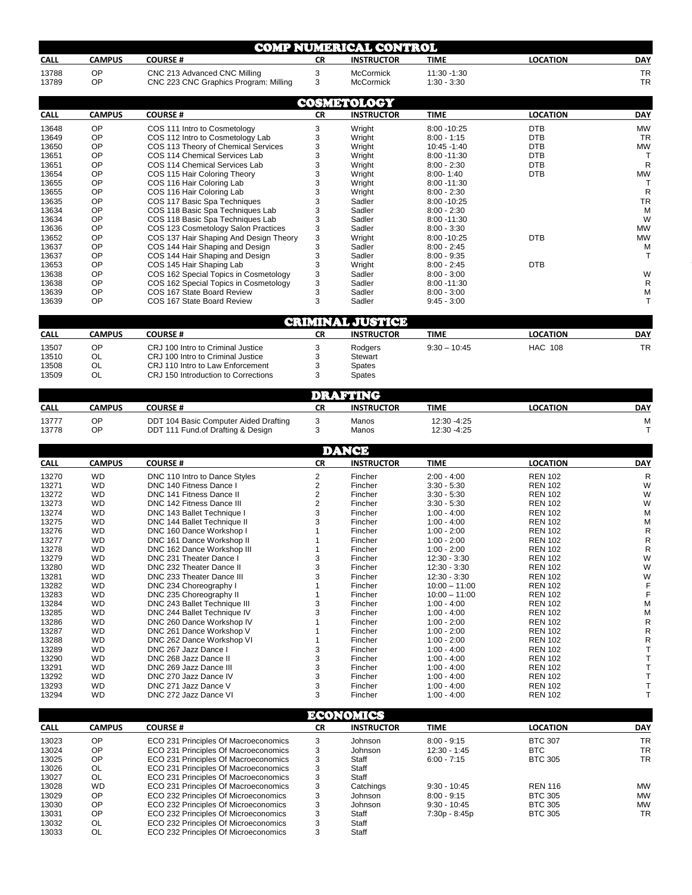|                                                                                                                                                                                                          |                        |                                                                              |           | <b>COMP NUMERICAL CONTROL</b> |                                 |                                  |                            |
|----------------------------------------------------------------------------------------------------------------------------------------------------------------------------------------------------------|------------------------|------------------------------------------------------------------------------|-----------|-------------------------------|---------------------------------|----------------------------------|----------------------------|
| <b>CALL</b>                                                                                                                                                                                              | <b>CAMPUS</b>          | <b>COURSE#</b>                                                               | <b>CR</b> | <b>INSTRUCTOR</b>             | <b>TIME</b>                     | <b>LOCATION</b>                  | <b>DAY</b>                 |
| 13788                                                                                                                                                                                                    | OP                     | CNC 213 Advanced CNC Milling                                                 | 3         | <b>McCormick</b>              | 11:30 -1:30                     |                                  | <b>TR</b>                  |
| 13789                                                                                                                                                                                                    | OP                     | CNC 223 CNC Graphics Program: Milling                                        | 3         | <b>McCormick</b>              | $1:30 - 3:30$                   |                                  | <b>TR</b>                  |
|                                                                                                                                                                                                          |                        |                                                                              |           |                               |                                 |                                  |                            |
|                                                                                                                                                                                                          |                        |                                                                              |           | <b>COSMETOLOGY</b>            |                                 |                                  |                            |
| <b>CALL</b>                                                                                                                                                                                              | <b>CAMPUS</b>          | <b>COURSE#</b>                                                               | <b>CR</b> | <b>INSTRUCTOR</b>             | <b>TIME</b>                     | <b>LOCATION</b>                  | <b>DAY</b>                 |
| 13648                                                                                                                                                                                                    | OP                     | COS 111 Intro to Cosmetology                                                 | 3         | Wright                        | 8:00 - 10:25                    | <b>DTB</b>                       | <b>MW</b>                  |
| 13649<br>13650                                                                                                                                                                                           | OP<br>OP               | COS 112 Intro to Cosmetology Lab<br>COS 113 Theory of Chemical Services      | 3<br>3    | Wright<br>Wright              | $8:00 - 1:15$<br>10:45 -1:40    | <b>DTB</b><br><b>DTB</b>         | <b>TR</b><br>MW            |
| 13651                                                                                                                                                                                                    | OP                     | COS 114 Chemical Services Lab                                                | 3         | Wright                        | 8:00 - 11:30                    | <b>DTB</b>                       | $\mathsf{T}$               |
| 13651                                                                                                                                                                                                    | OP                     | COS 114 Chemical Services Lab                                                | 3         | Wright                        | $8:00 - 2:30$                   | <b>DTB</b>                       | R                          |
| 13654                                                                                                                                                                                                    | OP                     | COS 115 Hair Coloring Theory                                                 | 3         | Wright                        | $8:00 - 1:40$                   | <b>DTB</b>                       | MW                         |
| 13655                                                                                                                                                                                                    | OP                     | COS 116 Hair Coloring Lab                                                    | 3         | Wright                        | 8:00 - 11:30                    |                                  | $\mathsf{T}$               |
| 13655                                                                                                                                                                                                    | OP                     | COS 116 Hair Coloring Lab                                                    | 3         | Wright                        | $8:00 - 2:30$                   |                                  | R                          |
| 13635                                                                                                                                                                                                    | OP                     | COS 117 Basic Spa Techniques                                                 | 3         | Sadler                        | 8:00 - 10:25                    |                                  | <b>TR</b>                  |
| 13634                                                                                                                                                                                                    | OP<br>OP               | COS 118 Basic Spa Techniques Lab                                             | 3         | Sadler                        | $8:00 - 2:30$                   |                                  | M                          |
| 13634<br>13636                                                                                                                                                                                           | OP                     | COS 118 Basic Spa Techniques Lab<br>COS 123 Cosmetology Salon Practices      | 3<br>3    | Sadler<br>Sadler              | 8:00 - 11:30<br>$8:00 - 3:30$   |                                  | W<br><b>MW</b>             |
| 13652                                                                                                                                                                                                    | OP                     | COS 137 Hair Shaping And Design Theory                                       | 3         | Wright                        | 8:00 - 10:25                    | <b>DTB</b>                       | <b>MW</b>                  |
| 13637                                                                                                                                                                                                    | OP                     | COS 144 Hair Shaping and Design                                              | 3         | Sadler                        | $8:00 - 2:45$                   |                                  | М                          |
| 13637                                                                                                                                                                                                    | OP                     | COS 144 Hair Shaping and Design                                              | 3         | Sadler                        | $8:00 - 9:35$                   |                                  | $\mathsf{T}$               |
| 13653                                                                                                                                                                                                    | OP                     | COS 145 Hair Shaping Lab                                                     | 3         | Wright                        | $8:00 - 2:45$                   | <b>DTB</b>                       |                            |
| 13638                                                                                                                                                                                                    | OP                     | COS 162 Special Topics in Cosmetology                                        | 3         | Sadler                        | $8:00 - 3:00$                   |                                  | W                          |
| 13638                                                                                                                                                                                                    | OP                     | COS 162 Special Topics in Cosmetology                                        | 3         | Sadler                        | 8:00 - 11:30                    |                                  | R                          |
| 13639                                                                                                                                                                                                    | OP<br>OP               | COS 167 State Board Review                                                   | 3<br>3    | Sadler                        | $8:00 - 3:00$                   |                                  | М<br>$\mathsf{T}$          |
| 13639                                                                                                                                                                                                    |                        | COS 167 State Board Review                                                   |           | Sadler                        | $9:45 - 3:00$                   |                                  |                            |
|                                                                                                                                                                                                          |                        |                                                                              |           | <b>CRIMINAL JUSTICE</b>       |                                 |                                  |                            |
| <b>CALL</b>                                                                                                                                                                                              | <b>CAMPUS</b>          | <b>COURSE#</b>                                                               | <b>CR</b> | <b>INSTRUCTOR</b>             | <b>TIME</b>                     | <b>LOCATION</b>                  | <b>DAY</b>                 |
| 13507                                                                                                                                                                                                    | OP                     | CRJ 100 Intro to Criminal Justice                                            | 3         | Rodgers                       | $9:30 - 10:45$                  | <b>HAC 108</b>                   | <b>TR</b>                  |
| 13510                                                                                                                                                                                                    | <b>OL</b>              | CRJ 100 Intro to Criminal Justice                                            | 3         | Stewart                       |                                 |                                  |                            |
| 13508                                                                                                                                                                                                    | OL                     | CRJ 110 Intro to Law Enforcement                                             | 3         | Spates                        |                                 |                                  |                            |
| 13509                                                                                                                                                                                                    | OL                     | CRJ 150 Introduction to Corrections                                          | 3         | Spates                        |                                 |                                  |                            |
|                                                                                                                                                                                                          |                        |                                                                              |           |                               |                                 |                                  |                            |
|                                                                                                                                                                                                          |                        |                                                                              |           | <b>DRAFTING</b>               |                                 |                                  |                            |
| <b>CALL</b>                                                                                                                                                                                              | <b>CAMPUS</b>          | <b>COURSE#</b>                                                               | <b>CR</b> | <b>INSTRUCTOR</b>             | <b>TIME</b>                     | <b>LOCATION</b>                  | <b>DAY</b>                 |
| 13777                                                                                                                                                                                                    | OP                     | DDT 104 Basic Computer Aided Drafting                                        | 3         | Manos                         | 12:30 - 4:25                    |                                  | М                          |
| 13778                                                                                                                                                                                                    | OP                     | DDT 111 Fund of Drafting & Design                                            | 3         | Manos                         | 12:30 -4:25                     |                                  | $\mathsf{T}$               |
|                                                                                                                                                                                                          |                        |                                                                              |           | <b>DANCE</b>                  |                                 |                                  |                            |
| <b>CALL</b>                                                                                                                                                                                              | <b>CAMPUS</b>          | <b>COURSE#</b>                                                               | <b>CR</b> | <b>INSTRUCTOR</b>             | <b>TIME</b>                     | <b>LOCATION</b>                  | <b>DAY</b>                 |
| 13270                                                                                                                                                                                                    | WD                     |                                                                              |           |                               | $2:00 - 4:00$                   | <b>REN 102</b>                   | R                          |
| 13271                                                                                                                                                                                                    | <b>WD</b>              | DNC 110 Intro to Dance Styles<br>DNC 140 Fitness Dance I                     | 2<br>2    | Fincher<br>Fincher            | $3:30 - 5:30$                   | <b>REN 102</b>                   | W                          |
| 13272                                                                                                                                                                                                    | <b>WD</b>              | DNC 141 Fitness Dance II                                                     | 2         | Fincher                       | $3:30 - 5:30$                   | <b>REN 102</b>                   | W                          |
| 13273                                                                                                                                                                                                    |                        |                                                                              |           |                               | $3:30 - 5:30$                   | <b>REN 102</b>                   | W                          |
|                                                                                                                                                                                                          | <b>WD</b>              | DNC 142 Fitness Dance III                                                    | 2         | Fincher                       |                                 |                                  |                            |
| 13274                                                                                                                                                                                                    | <b>WD</b>              | DNC 143 Ballet Technique I                                                   | 3         | Fincher                       | $1:00 - 4:00$                   | <b>REN 102</b>                   | M                          |
|                                                                                                                                                                                                          | <b>WD</b>              | DNC 144 Ballet Technique II                                                  | 3         | Fincher                       | $1:00 - 4:00$                   | <b>REN 102</b>                   | М                          |
|                                                                                                                                                                                                          | <b>WD</b>              | DNC 160 Dance Workshop I                                                     | 1         | Fincher                       | $1:00 - 2:00$                   | <b>REN 102</b>                   | R                          |
| 13275<br>13276<br>13277                                                                                                                                                                                  | <b>WD</b>              | DNC 161 Dance Workshop II                                                    | 1         | Fincher                       | $1:00 - 2:00$                   | <b>REN 102</b>                   | R                          |
|                                                                                                                                                                                                          | <b>WD</b>              | <b>DNC 162 Dance Workshop III</b>                                            |           | Fincher                       | $1:00 - 2:00$                   | <b>REN 102</b>                   | R                          |
|                                                                                                                                                                                                          | <b>WD</b>              | DNC 231 Theater Dance I                                                      | 3         | Fincher                       | 12:30 - 3:30                    | <b>REN 102</b>                   | W                          |
|                                                                                                                                                                                                          | <b>WD</b>              | DNC 232 Theater Dance II                                                     | 3         | Fincher                       | 12:30 - 3:30                    | <b>REN 102</b>                   | W                          |
|                                                                                                                                                                                                          | WD<br><b>WD</b>        | DNC 233 Theater Dance III<br>DNC 234 Choreography I                          | 3<br>1    | Fincher<br>Fincher            | 12:30 - 3:30<br>$10:00 - 11:00$ | <b>REN 102</b><br><b>REN 102</b> | W<br>F                     |
|                                                                                                                                                                                                          | WD                     | DNC 235 Choreography II                                                      | 1         | Fincher                       | $10:00 - 11:00$                 | <b>REN 102</b>                   | F                          |
|                                                                                                                                                                                                          | WD                     | DNC 243 Ballet Technique III                                                 | 3         | Fincher                       | $1:00 - 4:00$                   | <b>REN 102</b>                   | М                          |
|                                                                                                                                                                                                          | <b>WD</b>              | DNC 244 Ballet Technique IV                                                  | 3         | Fincher                       | $1:00 - 4:00$                   | <b>REN 102</b>                   | М                          |
|                                                                                                                                                                                                          | WD                     | DNC 260 Dance Workshop IV                                                    | 1         | Fincher                       | $1:00 - 2:00$                   | <b>REN 102</b>                   | R                          |
|                                                                                                                                                                                                          | WD                     | DNC 261 Dance Workshop V                                                     | 1         | Fincher                       | $1:00 - 2:00$                   | <b>REN 102</b>                   | $\mathsf R$                |
|                                                                                                                                                                                                          | <b>WD</b>              | DNC 262 Dance Workshop VI                                                    | 1         | Fincher                       | $1:00 - 2:00$                   | <b>REN 102</b>                   | $\mathsf R$                |
|                                                                                                                                                                                                          | WD                     | DNC 267 Jazz Dance I                                                         | 3         | Fincher                       | $1:00 - 4:00$                   | <b>REN 102</b>                   | $\mathsf{T}$               |
|                                                                                                                                                                                                          | <b>WD</b><br><b>WD</b> | DNC 268 Jazz Dance II<br>DNC 269 Jazz Dance III                              | 3<br>3    | Fincher<br>Fincher            | $1:00 - 4:00$<br>$1:00 - 4:00$  | <b>REN 102</b><br><b>REN 102</b> | $\mathsf T$<br>$\mathsf T$ |
|                                                                                                                                                                                                          | <b>WD</b>              | DNC 270 Jazz Dance IV                                                        | 3         | Fincher                       | $1:00 - 4:00$                   | <b>REN 102</b>                   | $\mathsf T$                |
|                                                                                                                                                                                                          | <b>WD</b>              | DNC 271 Jazz Dance V                                                         | 3         | Fincher                       | $1:00 - 4:00$                   | <b>REN 102</b>                   | $\mathsf{T}$               |
|                                                                                                                                                                                                          | <b>WD</b>              | DNC 272 Jazz Dance VI                                                        | 3         | Fincher                       | $1:00 - 4:00$                   | <b>REN 102</b>                   | $\mathsf{T}$               |
|                                                                                                                                                                                                          |                        |                                                                              |           |                               |                                 |                                  |                            |
|                                                                                                                                                                                                          |                        |                                                                              |           | <b>ECONOMICS</b>              |                                 |                                  |                            |
|                                                                                                                                                                                                          | <b>CAMPUS</b>          | <b>COURSE#</b>                                                               | <b>CR</b> | <b>INSTRUCTOR</b>             | <b>TIME</b>                     | <b>LOCATION</b>                  | DAY                        |
|                                                                                                                                                                                                          | OP                     | ECO 231 Principles Of Macroeconomics                                         | 3         | Johnson                       | $8:00 - 9:15$                   | <b>BTC 307</b>                   | <b>TR</b>                  |
|                                                                                                                                                                                                          | OP                     | ECO 231 Principles Of Macroeconomics                                         | 3         | Johnson                       | 12:30 - 1:45                    | <b>BTC</b>                       | TR                         |
|                                                                                                                                                                                                          | OP                     | ECO 231 Principles Of Macroeconomics                                         | 3         | Staff                         | $6:00 - 7:15$                   | <b>BTC 305</b>                   | TR                         |
| 13278<br>13279<br>13280<br>13281<br>13282<br>13283<br>13284<br>13285<br>13286<br>13287<br>13288<br>13289<br>13290<br>13291<br>13292<br>13293<br>13294<br><b>CALL</b><br>13023<br>13024<br>13025<br>13026 | OL                     | ECO 231 Principles Of Macroeconomics                                         | 3         | Staff                         |                                 |                                  |                            |
| 13027                                                                                                                                                                                                    | OL                     | ECO 231 Principles Of Macroeconomics                                         | 3         | Staff                         |                                 |                                  |                            |
| 13028                                                                                                                                                                                                    | <b>WD</b>              | ECO 231 Principles Of Macroeconomics                                         | 3         | Catchings                     | $9:30 - 10:45$                  | <b>REN 116</b>                   | <b>MW</b>                  |
| 13029<br>13030                                                                                                                                                                                           | OP<br>OP               | ECO 232 Principles Of Microeconomics                                         | 3         | Johnson<br>Johnson            | $8:00 - 9:15$<br>$9:30 - 10:45$ | <b>BTC 305</b>                   | <b>MW</b><br><b>MW</b>     |
|                                                                                                                                                                                                          | OP                     | ECO 232 Principles Of Microeconomics<br>ECO 232 Principles Of Microeconomics | 3<br>3    | Staff                         | 7:30p - 8:45p                   | <b>BTC 305</b><br><b>BTC 305</b> | TR                         |
| 13031<br>13032<br>13033                                                                                                                                                                                  | OL<br>OL               | ECO 232 Principles Of Microeconomics<br>ECO 232 Principles Of Microeconomics | 3<br>3    | Staff<br>Staff                |                                 |                                  |                            |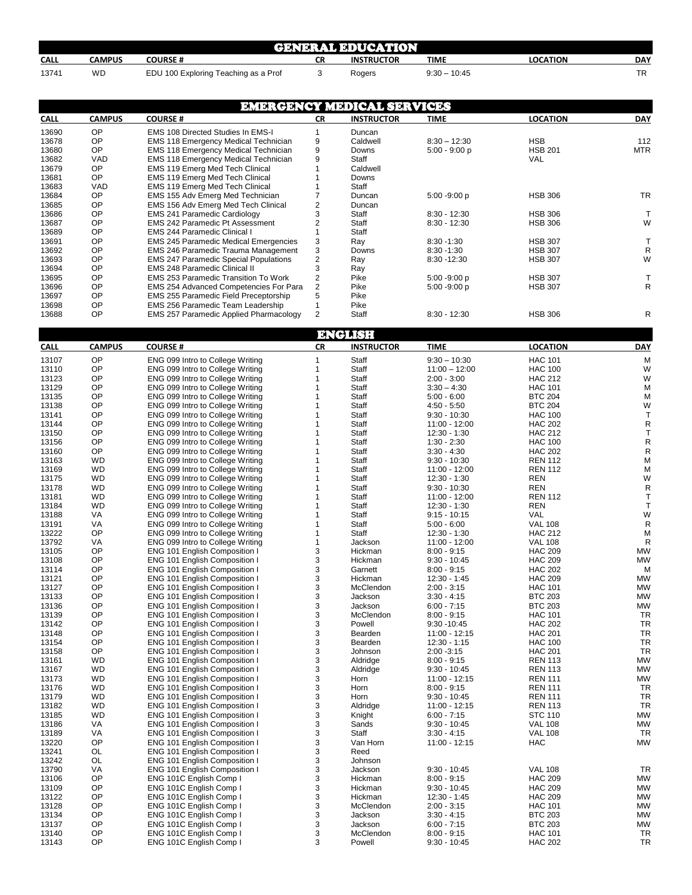|       | <b>GENERAL EDUCATION</b> |                                      |    |                   |                |                 |            |  |  |  |
|-------|--------------------------|--------------------------------------|----|-------------------|----------------|-----------------|------------|--|--|--|
| CALL  | CAMPUS                   | <b>COURSE#</b>                       | CR | <b>INSTRUCTOR</b> | TIME           | <b>LOCATION</b> | <b>DAY</b> |  |  |  |
| 13741 | WD                       | EDU 100 Exploring Teaching as a Prof |    | Rogers            | $9:30 - 10:45$ |                 | <b>TR</b>  |  |  |  |

|                |               |                                                                                 |                                  | <b>EMERGENCY MEDICAL SERVICES</b> |                                |                                  |            |
|----------------|---------------|---------------------------------------------------------------------------------|----------------------------------|-----------------------------------|--------------------------------|----------------------------------|------------|
| <b>CALL</b>    | <b>CAMPUS</b> | <b>COURSE#</b>                                                                  | <b>CR</b>                        | <b>INSTRUCTOR</b>                 | <b>TIME</b>                    | <b>LOCATION</b>                  | <b>DAY</b> |
| 13690          | OP            | EMS 108 Directed Studies In EMS-I                                               | $\mathbf{1}$                     | Duncan                            |                                |                                  |            |
| 13678          | OP            | <b>EMS 118 Emergency Medical Technician</b>                                     | 9                                | Caldwell                          | $8:30 - 12:30$                 | <b>HSB</b>                       | 112        |
| 13680          | OP            | <b>EMS 118 Emergency Medical Technician</b>                                     | 9                                | Downs                             | $5:00 - 9:00 p$                | <b>HSB 201</b>                   | <b>MTR</b> |
| 13682          | VAD           | EMS 118 Emergency Medical Technician                                            | 9                                | Staff                             |                                | VAL                              |            |
| 13679          | OP.           | EMS 119 Emerg Med Tech Clinical                                                 | $\mathbf{1}$                     | Caldwell                          |                                |                                  |            |
| 13681          | OP            | EMS 119 Emerg Med Tech Clinical                                                 | $\overline{1}$                   | Downs                             |                                |                                  |            |
| 13683          | VAD           | EMS 119 Emerg Med Tech Clinical                                                 | $\overline{1}$                   | Staff                             |                                |                                  |            |
| 13684          | OP            | EMS 155 Adv Emerg Med Technician                                                | $\overline{7}$                   | Duncan                            | 5:00 -9:00 p                   | <b>HSB 306</b>                   | <b>TR</b>  |
| 13685          | OP            | EMS 156 Adv Emerg Med Tech Clinical                                             | $\sqrt{2}$                       | Duncan                            |                                |                                  |            |
| 13686          | OP            | <b>EMS 241 Paramedic Cardiology</b>                                             | 3                                | Staff                             | $8:30 - 12:30$                 | <b>HSB 306</b>                   | T          |
| 13687          | OP            | EMS 242 Paramedic Pt Assessment                                                 | 2                                | Staff                             | $8:30 - 12:30$                 | <b>HSB 306</b>                   | W          |
| 13689          | OP            | <b>EMS 244 Paramedic Clinical I</b>                                             | $\mathbf{1}$                     | Staff                             |                                |                                  |            |
| 13691          | OP            | <b>EMS 245 Paramedic Medical Emergencies</b>                                    | 3                                | Ray                               | $8:30 - 1:30$                  | <b>HSB 307</b>                   | T          |
| 13692          | OP            | EMS 246 Paramedic Trauma Management                                             | 3                                | Downs                             | $8:30 - 1:30$                  | <b>HSB 307</b>                   | R          |
| 13693          | OP            | <b>EMS 247 Paramedic Special Populations</b>                                    | $\sqrt{2}$                       | Ray                               | 8:30 - 12:30                   | <b>HSB 307</b>                   | W          |
| 13694          | OP            | EMS 248 Paramedic Clinical II                                                   | 3                                | Ray                               |                                |                                  |            |
| 13695          | OP<br>OP      | EMS 253 Paramedic Transition To Work                                            | $\overline{2}$<br>$\overline{2}$ | Pike<br>Pike                      | 5:00 -9:00 p                   | <b>HSB 307</b><br><b>HSB 307</b> | Т<br>R     |
| 13696<br>13697 | OP            | EMS 254 Advanced Competencies For Para<br>EMS 255 Paramedic Field Preceptorship | 5                                | Pike                              | $5:00 - 9:00 p$                |                                  |            |
| 13698          | OP            | EMS 256 Paramedic Team Leadership                                               | $\mathbf{1}$                     | Pike                              |                                |                                  |            |
| 13688          | OP            | EMS 257 Paramedic Applied Pharmacology                                          | $\overline{2}$                   | Staff                             | $8:30 - 12:30$                 | <b>HSB 306</b>                   | R          |
|                |               |                                                                                 |                                  |                                   |                                |                                  |            |
|                |               |                                                                                 |                                  | <b>ENGLISH</b>                    |                                |                                  |            |
| <b>CALL</b>    | <b>CAMPUS</b> | <b>COURSE#</b>                                                                  | <b>CR</b>                        | <b>INSTRUCTOR</b>                 | <b>TIME</b>                    | <b>LOCATION</b>                  | <b>DAY</b> |
|                |               |                                                                                 |                                  |                                   |                                |                                  |            |
| 13107          | OP            | ENG 099 Intro to College Writing                                                | $\mathbf{1}$                     | Staff                             | $9:30 - 10:30$                 | <b>HAC 101</b>                   | M          |
| 13110          | OP            | ENG 099 Intro to College Writing                                                | 1                                | Staff                             | $11:00 - 12:00$                | <b>HAC 100</b>                   | W          |
| 13123          | OP            | ENG 099 Intro to College Writing                                                | 1                                | Staff                             | $2:00 - 3:00$                  | <b>HAC 212</b>                   | W          |
| 13129          | OP<br>OP      | ENG 099 Intro to College Writing<br>ENG 099 Intro to College Writing            |                                  | Staff                             | $3:30 - 4:30$                  | <b>HAC 101</b>                   | М          |
| 13135<br>13138 | OP            | ENG 099 Intro to College Writing                                                |                                  | Staff<br>Staff                    | $5:00 - 6:00$<br>$4:50 - 5:50$ | <b>BTC 204</b><br><b>BTC 204</b> | M<br>W     |
| 13141          | OP            | ENG 099 Intro to College Writing                                                |                                  | Staff                             | $9:30 - 10:30$                 | <b>HAC 100</b>                   | T          |
| 13144          | OP            | ENG 099 Intro to College Writing                                                |                                  | Staff                             | 11:00 - 12:00                  | <b>HAC 202</b>                   | R          |
| 13150          | OP            | ENG 099 Intro to College Writing                                                |                                  | Staff                             | $12:30 - 1:30$                 | <b>HAC 212</b>                   | T          |
| 13156          | OP            | ENG 099 Intro to College Writing                                                |                                  | Staff                             | $1:30 - 2:30$                  | <b>HAC 100</b>                   | R          |
| 13160          | OP            | ENG 099 Intro to College Writing                                                |                                  | Staff                             | $3:30 - 4:30$                  | <b>HAC 202</b>                   | R          |
| 13163          | <b>WD</b>     | ENG 099 Intro to College Writing                                                |                                  | Staff                             | $9:30 - 10:30$                 | <b>REN 112</b>                   | M          |
| 13169          | <b>WD</b>     | ENG 099 Intro to College Writing                                                |                                  | Staff                             | 11:00 - 12:00                  | <b>REN 112</b>                   | M          |
| 13175          | <b>WD</b>     | ENG 099 Intro to College Writing                                                |                                  | Staff                             | 12:30 - 1:30                   | REN                              | W          |
| 13178          | <b>WD</b>     | ENG 099 Intro to College Writing                                                |                                  | Staff                             | $9:30 - 10:30$                 | <b>REN</b>                       | R          |
| 13181          | <b>WD</b>     | ENG 099 Intro to College Writing                                                |                                  | Staff                             | 11:00 - 12:00                  | <b>REN 112</b>                   | T          |
| 13184          | <b>WD</b>     | ENG 099 Intro to College Writing                                                |                                  | Staff                             | $12:30 - 1:30$                 | REN                              | $\top$     |
| 13188          | VA.           | ENG 099 Intro to College Writing                                                |                                  | Staff                             | $9:15 - 10:15$                 | <b>VAL</b>                       | W          |
| 13191          | VA            | ENG 099 Intro to College Writing                                                |                                  | Staff                             | $5:00 - 6:00$                  | <b>VAL 108</b>                   | R          |
| 13222          | OP            | ENG 099 Intro to College Writing                                                |                                  | Staff                             | 12:30 - 1:30                   | <b>HAC 212</b>                   | M          |
| 13792          | VA            | ENG 099 Intro to College Writing                                                | 1                                | Jackson                           | 11:00 - 12:00                  | <b>VAL 108</b>                   | R          |
| 13105          | OP            | ENG 101 English Composition I                                                   | 3                                | Hickman                           | $8:00 - 9:15$                  | <b>HAC 209</b>                   | MW         |
| 13108          | OP            | ENG 101 English Composition I                                                   | 3                                | Hickman                           | $9:30 - 10:45$                 | <b>HAC 209</b>                   | MW         |
| 13114          | OP            | ENG 101 English Composition I                                                   | 3                                | Garnett                           | $8:00 - 9:15$                  | <b>HAC 202</b>                   | M          |
| 13121<br>13127 | OP<br>OP      | ENG 101 English Composition I<br>ENG 101 English Composition                    | 3<br>3                           | Hickman<br><b>McClendon</b>       | 12:30 - 1:45                   | <b>HAC 209</b><br><b>HAC 101</b> | MW<br>MW   |
| 13133          | OP            | ENG 101 English Composition I                                                   | 3                                | Jackson                           | $2:00 - 3:15$<br>$3:30 - 4:15$ | <b>BTC 203</b>                   | <b>MW</b>  |
| 13136          | OP            | ENG 101 English Composition I                                                   | 3                                | Jackson                           | $6:00 - 7:15$                  | <b>BTC 203</b>                   | MW         |
| 13139          | OP            | ENG 101 English Composition I                                                   | 3                                | McClendon                         | $8:00 - 9:15$                  | <b>HAC 101</b>                   | <b>TR</b>  |
| 13142          | OP            | ENG 101 English Composition I                                                   | 3                                | Powell                            | $9:30 - 10:45$                 | <b>HAC 202</b>                   | TR         |
| 13148          | OP            | ENG 101 English Composition I                                                   | 3                                | Bearden                           | 11:00 - 12:15                  | <b>HAC 201</b>                   | TR         |
| 13154          | OP            | ENG 101 English Composition I                                                   | 3                                | Bearden                           | $12:30 - 1:15$                 | <b>HAC 100</b>                   | <b>TR</b>  |
| 13158          | OP            | ENG 101 English Composition I                                                   | 3                                | Johnson                           | $2:00 - 3:15$                  | <b>HAC 201</b>                   | TR         |
| 13161          | <b>WD</b>     | ENG 101 English Composition I                                                   | 3                                | Aldridge                          | $8:00 - 9:15$                  | <b>REN 113</b>                   | MW         |
| 13167          | <b>WD</b>     | ENG 101 English Composition I                                                   | 3                                | Aldridge                          | $9:30 - 10:45$                 | <b>REN 113</b>                   | <b>MW</b>  |
| 13173          | <b>WD</b>     | ENG 101 English Composition I                                                   | 3                                | Horn                              | 11:00 - 12:15                  | <b>REN 111</b>                   | MW         |
| 13176          | <b>WD</b>     | ENG 101 English Composition I                                                   | 3                                | Horn                              | $8:00 - 9:15$                  | <b>REN 111</b>                   | TR         |
| 13179          | WD            | ENG 101 English Composition I                                                   | 3                                | Horn                              | $9:30 - 10:45$                 | <b>REN 111</b>                   | <b>TR</b>  |
| 13182          | <b>WD</b>     | ENG 101 English Composition I                                                   | 3                                | Aldridge                          | 11:00 - 12:15                  | <b>REN 113</b>                   | <b>TR</b>  |
| 13185          | <b>WD</b>     | ENG 101 English Composition I                                                   | 3                                | Knight                            | $6:00 - 7:15$                  | <b>STC 110</b>                   | MW         |
| 13186          | VA            | ENG 101 English Composition I                                                   | 3                                | Sands                             | $9:30 - 10:45$                 | <b>VAL 108</b>                   | MW         |
| 13189          | VA            | ENG 101 English Composition I                                                   | 3                                | Staff                             | $3:30 - 4:15$                  | <b>VAL 108</b>                   | TR         |
| 13220          | OP            | ENG 101 English Composition I                                                   | 3                                | Van Horn                          | 11:00 - 12:15                  | <b>HAC</b>                       | <b>MW</b>  |
| 13241          | OL            | ENG 101 English Composition I                                                   | 3                                | Reed                              |                                |                                  |            |
| 13242          | OL            | ENG 101 English Composition I                                                   | 3                                | Johnson                           |                                |                                  |            |
| 13790          | VA            | ENG 101 English Composition I                                                   | 3                                | Jackson                           | $9:30 - 10:45$                 | <b>VAL 108</b>                   | TR         |
| 13106          | OP            | ENG 101C English Comp I                                                         | 3                                | Hickman                           | $8:00 - 9:15$                  | <b>HAC 209</b>                   | МW         |
| 13109          | OP<br>OP      | ENG 101C English Comp I                                                         | 3<br>3                           | Hickman                           | $9:30 - 10:45$                 | <b>HAC 209</b>                   | MW         |
| 13122<br>13128 | OP            | ENG 101C English Comp I<br>ENG 101C English Comp I                              | 3                                | Hickman<br>McClendon              | 12:30 - 1:45<br>$2:00 - 3:15$  | <b>HAC 209</b><br><b>HAC 101</b> | MW<br>MW   |
| 13134          | OP            | ENG 101C English Comp I                                                         | 3                                | Jackson                           | $3:30 - 4:15$                  | <b>BTC 203</b>                   | MW         |
| 13137          | OP            | ENG 101C English Comp I                                                         | 3                                | Jackson                           | $6:00 - 7:15$                  | <b>BTC 203</b>                   | MW         |
| 13140          | OP            | ENG 101C English Comp I                                                         | 3                                | McClendon                         | $8:00 - 9:15$                  | <b>HAC 101</b>                   | TR         |
| 13143          | OP            | ENG 101C English Comp I                                                         | 3                                | Powell                            | $9:30 - 10:45$                 | <b>HAC 202</b>                   | TR         |
|                |               |                                                                                 |                                  |                                   |                                |                                  |            |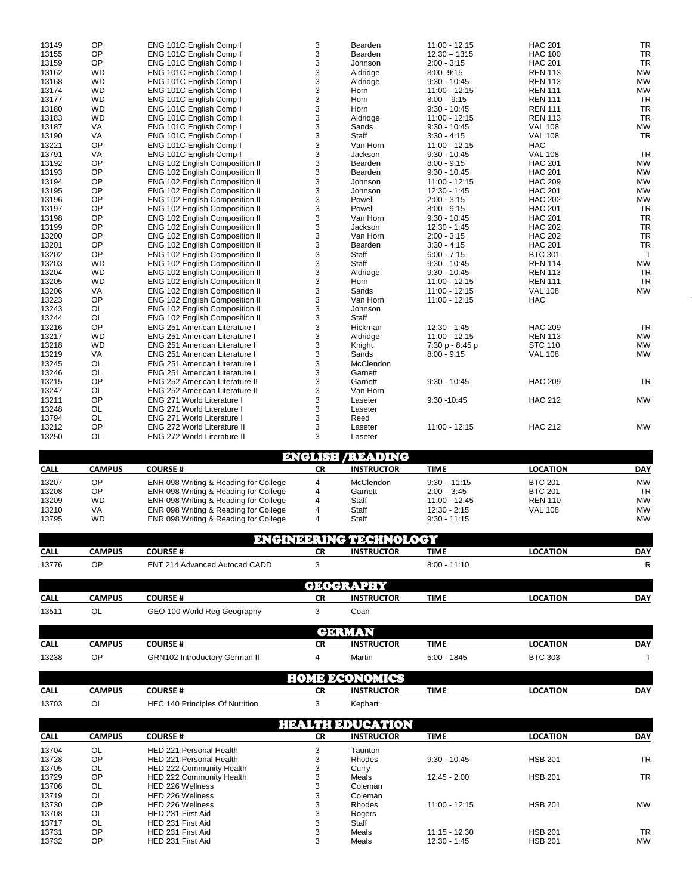| 13149 | OP        | ENG 101C English Comp I               | 3 | Bearden   | 11:00 - 12:15   | <b>HAC 201</b> | <b>TR</b>    |
|-------|-----------|---------------------------------------|---|-----------|-----------------|----------------|--------------|
| 13155 | OP        | ENG 101C English Comp I               | 3 | Bearden   | $12:30 - 1315$  | <b>HAC 100</b> | <b>TR</b>    |
| 13159 | OP        | ENG 101C English Comp I               | 3 | Johnson   | $2:00 - 3:15$   | <b>HAC 201</b> | <b>TR</b>    |
| 13162 | <b>WD</b> | ENG 101C English Comp I               | 3 | Aldridge  | $8:00 - 9:15$   | <b>REN 113</b> | <b>MW</b>    |
| 13168 | <b>WD</b> | ENG 101C English Comp I               | 3 | Aldridge  | $9:30 - 10:45$  | <b>REN 113</b> | <b>MW</b>    |
| 13174 | <b>WD</b> | ENG 101C English Comp I               | 3 | Horn      | $11:00 - 12:15$ | <b>REN 111</b> | <b>MW</b>    |
| 13177 | <b>WD</b> | ENG 101C English Comp I               | 3 | Horn      | $8:00 - 9:15$   | <b>REN 111</b> | <b>TR</b>    |
| 13180 | <b>WD</b> | ENG 101C English Comp I               | 3 | Horn      | $9:30 - 10:45$  | <b>REN 111</b> | <b>TR</b>    |
| 13183 | <b>WD</b> | ENG 101C English Comp I               | 3 | Aldridge  | $11:00 - 12:15$ | <b>REN 113</b> | <b>TR</b>    |
| 13187 | VA        | ENG 101C English Comp I               | 3 | Sands     | $9:30 - 10:45$  | <b>VAL 108</b> | <b>MW</b>    |
| 13190 | <b>VA</b> | ENG 101C English Comp I               | 3 | Staff     | $3:30 - 4:15$   | <b>VAL 108</b> | <b>TR</b>    |
| 13221 | OP        | ENG 101C English Comp I               | 3 | Van Horn  | $11:00 - 12:15$ | <b>HAC</b>     |              |
| 13791 | <b>VA</b> | ENG 101C English Comp I               | 3 | Jackson   | $9:30 - 10:45$  | <b>VAL 108</b> | <b>TR</b>    |
| 13192 | OP        | ENG 102 English Composition II        | 3 | Bearden   | $8:00 - 9:15$   | <b>HAC 201</b> | <b>MW</b>    |
| 13193 | OP        | ENG 102 English Composition II        | 3 | Bearden   | $9:30 - 10:45$  | <b>HAC 201</b> | <b>MW</b>    |
| 13194 | OP        | ENG 102 English Composition II        | 3 | Johnson   | $11:00 - 12:15$ | <b>HAC 209</b> | <b>MW</b>    |
| 13195 | OP        | ENG 102 English Composition II        | 3 | Johnson   | $12:30 - 1:45$  | <b>HAC 201</b> | <b>MW</b>    |
| 13196 | OP        | ENG 102 English Composition II        | 3 | Powell    | $2:00 - 3:15$   | <b>HAC 202</b> | <b>MW</b>    |
| 13197 | OP        | ENG 102 English Composition II        | 3 | Powell    | $8:00 - 9:15$   | <b>HAC 201</b> | <b>TR</b>    |
| 13198 | OP        | ENG 102 English Composition II        | 3 | Van Horn  | $9:30 - 10:45$  | <b>HAC 201</b> | <b>TR</b>    |
| 13199 | OP        | ENG 102 English Composition II        | 3 | Jackson   | $12:30 - 1:45$  | <b>HAC 202</b> | <b>TR</b>    |
| 13200 | OP        | ENG 102 English Composition II        | 3 | Van Horn  | $2:00 - 3:15$   | <b>HAC 202</b> | <b>TR</b>    |
| 13201 | OP        | ENG 102 English Composition II        | 3 | Bearden   | $3:30 - 4:15$   | <b>HAC 201</b> | <b>TR</b>    |
| 13202 | OP        | ENG 102 English Composition II        | 3 | Staff     | $6:00 - 7:15$   | <b>BTC 301</b> | $\mathsf{T}$ |
| 13203 | <b>WD</b> | ENG 102 English Composition II        | 3 | Staff     | $9:30 - 10:45$  | <b>REN 114</b> | <b>MW</b>    |
| 13204 | <b>WD</b> | ENG 102 English Composition II        | 3 | Aldridge  | $9:30 - 10:45$  | <b>REN 113</b> | <b>TR</b>    |
| 13205 | <b>WD</b> | ENG 102 English Composition II        | 3 | Horn      | 11:00 - 12:15   | <b>REN 111</b> | <b>TR</b>    |
| 13206 | VA        | ENG 102 English Composition II        | 3 | Sands     | $11:00 - 12:15$ | <b>VAL 108</b> | <b>MW</b>    |
| 13223 | OP        | ENG 102 English Composition II        | 3 | Van Horn  | 11:00 - 12:15   | <b>HAC</b>     |              |
| 13243 | OL        | ENG 102 English Composition II        | 3 | Johnson   |                 |                |              |
| 13244 | <b>OL</b> | ENG 102 English Composition II        | 3 | Staff     |                 |                |              |
| 13216 | OP        | ENG 251 American Literature I         | 3 | Hickman   | $12:30 - 1:45$  | <b>HAC 209</b> | TR           |
| 13217 | <b>WD</b> | <b>ENG 251 American Literature I</b>  | 3 | Aldridge  | $11:00 - 12:15$ | <b>REN 113</b> | <b>MW</b>    |
| 13218 | <b>WD</b> | <b>ENG 251 American Literature I</b>  | 3 | Knight    | 7:30 p - 8:45 p | <b>STC 110</b> | <b>MW</b>    |
| 13219 | VA        | ENG 251 American Literature I         | 3 | Sands     | $8:00 - 9:15$   | <b>VAL 108</b> | <b>MW</b>    |
| 13245 | <b>OL</b> | <b>ENG 251 American Literature I</b>  | 3 | McClendon |                 |                |              |
| 13246 | OL        | ENG 251 American Literature I         | 3 | Garnett   |                 |                |              |
| 13215 | OP        | <b>ENG 252 American Literature II</b> | 3 | Garnett   | $9:30 - 10:45$  | <b>HAC 209</b> | <b>TR</b>    |
| 13247 | OL        | ENG 252 American Literature II        | 3 | Van Horn  |                 |                |              |
| 13211 | OP        | ENG 271 World Literature I            | 3 | Laseter   | $9:30 - 10:45$  | <b>HAC 212</b> | <b>MW</b>    |
| 13248 | <b>OL</b> | <b>ENG 271 World Literature I</b>     | 3 | Laseter   |                 |                |              |
| 13794 | OL        | ENG 271 World Literature I            | 3 | Reed      |                 |                |              |
| 13212 | OP        | <b>ENG 272 World Literature II</b>    | 3 | Laseter   | 11:00 - 12:15   | <b>HAC 212</b> | <b>MW</b>    |
| 13250 | OL        | ENG 272 World Literature II           | 3 | Laseter   |                 |                |              |
|       |           |                                       |   |           |                 |                |              |

|             | <b>ENGLISH /READING</b> |                                       |    |                   |                 |                 |            |  |  |  |
|-------------|-------------------------|---------------------------------------|----|-------------------|-----------------|-----------------|------------|--|--|--|
| <b>CALL</b> | CAMPUS                  | <b>COURSE#</b>                        | СR | <b>INSTRUCTOR</b> | TIME            | <b>LOCATION</b> | <b>DAY</b> |  |  |  |
| 13207       | ΟP                      | ENR 098 Writing & Reading for College |    | McClendon         | $9:30 - 11:15$  | <b>BTC 201</b>  | <b>MW</b>  |  |  |  |
| 13208       | OP                      | ENR 098 Writing & Reading for College |    | Garnett           | $2:00 - 3:45$   | <b>BTC 201</b>  | <b>TR</b>  |  |  |  |
| 13209       | <b>WD</b>               | ENR 098 Writing & Reading for College |    | Staff             | $11:00 - 12:45$ | <b>REN 110</b>  | <b>MW</b>  |  |  |  |
| 13210       | VA                      | ENR 098 Writing & Reading for College |    | Staff             | $12:30 - 2:15$  | <b>VAL 108</b>  | <b>MW</b>  |  |  |  |
| 13795       | <b>WD</b>               | ENR 098 Writing & Reading for College |    | Staff             | $9:30 - 11:15$  |                 | <b>MW</b>  |  |  |  |

|                |               |                                        |           | <b>ENGINEERING TECHNOLOGY</b> |                |                 |              |
|----------------|---------------|----------------------------------------|-----------|-------------------------------|----------------|-----------------|--------------|
| <b>CALL</b>    | <b>CAMPUS</b> | <b>COURSE#</b>                         | <b>CR</b> | <b>INSTRUCTOR</b>             | <b>TIME</b>    | <b>LOCATION</b> | <b>DAY</b>   |
| 13776          | OP            | ENT 214 Advanced Autocad CADD          | 3         |                               | $8:00 - 11:10$ |                 | $\mathsf{R}$ |
|                |               |                                        |           | GEOGRAPHY                     |                |                 |              |
| <b>CALL</b>    | <b>CAMPUS</b> | <b>COURSE#</b>                         | <b>CR</b> | <b>INSTRUCTOR</b>             | <b>TIME</b>    | <b>LOCATION</b> | <b>DAY</b>   |
| 13511          | OL            | GEO 100 World Reg Geography            | 3         | Coan                          |                |                 |              |
|                |               |                                        |           | <b>GERMAN</b>                 |                |                 |              |
| <b>CALL</b>    | <b>CAMPUS</b> | <b>COURSE#</b>                         | <b>CR</b> | <b>INSTRUCTOR</b>             | <b>TIME</b>    | <b>LOCATION</b> | <b>DAY</b>   |
| 13238          | OP            | GRN102 Introductory German II          | 4         | Martin                        | $5:00 - 1845$  | <b>BTC 303</b>  | T            |
|                |               |                                        |           | <b>HOME ECONOMICS</b>         |                |                 |              |
| <b>CALL</b>    | <b>CAMPUS</b> | <b>COURSE#</b>                         | <b>CR</b> | <b>INSTRUCTOR</b>             | <b>TIME</b>    | <b>LOCATION</b> | <b>DAY</b>   |
| 13703          | OL            | <b>HEC 140 Principles Of Nutrition</b> | 3         | Kephart                       |                |                 |              |
|                |               |                                        |           | <b>HEALTH EDUCATION</b>       |                |                 |              |
| <b>CALL</b>    | <b>CAMPUS</b> | <b>COURSE#</b>                         | <b>CR</b> | <b>INSTRUCTOR</b>             | <b>TIME</b>    | <b>LOCATION</b> | <b>DAY</b>   |
| 13704          | <b>OL</b>     | HED 221 Personal Health                | 3         | Taunton                       |                |                 |              |
| 13728          | OP            | HED 221 Personal Health                | 3         | Rhodes                        | $9:30 - 10:45$ | <b>HSB 201</b>  | <b>TR</b>    |
| 13705          | <b>OL</b>     | HED 222 Community Health               | 3         | Curry                         |                |                 |              |
| 13729          | OP            | HED 222 Community Health               | 3         | Meals                         | $12:45 - 2:00$ | <b>HSB 201</b>  | <b>TR</b>    |
| 13706          | <b>OL</b>     | HED 226 Wellness                       | 3         | Coleman                       |                |                 |              |
| 13719          | <b>OL</b>     | HED 226 Wellness                       | 3         | Coleman                       |                |                 |              |
| 13730<br>13708 | OP<br>OL      | HED 226 Wellness<br>HED 231 First Aid  | 3<br>3    | Rhodes                        | 11:00 - 12:15  | <b>HSB 201</b>  | <b>MW</b>    |
| 13717          | <b>OL</b>     | HED 231 First Aid                      | 3         | Rogers<br>Staff               |                |                 |              |
|                |               |                                        |           |                               |                |                 |              |

 OP HED 231 First Aid 3 Meals 11:15 - 12:30 HSB 201 TR 13732 OP HED 231 First Aid 3 Meals 12:30 - 1:45 HSB 201 MW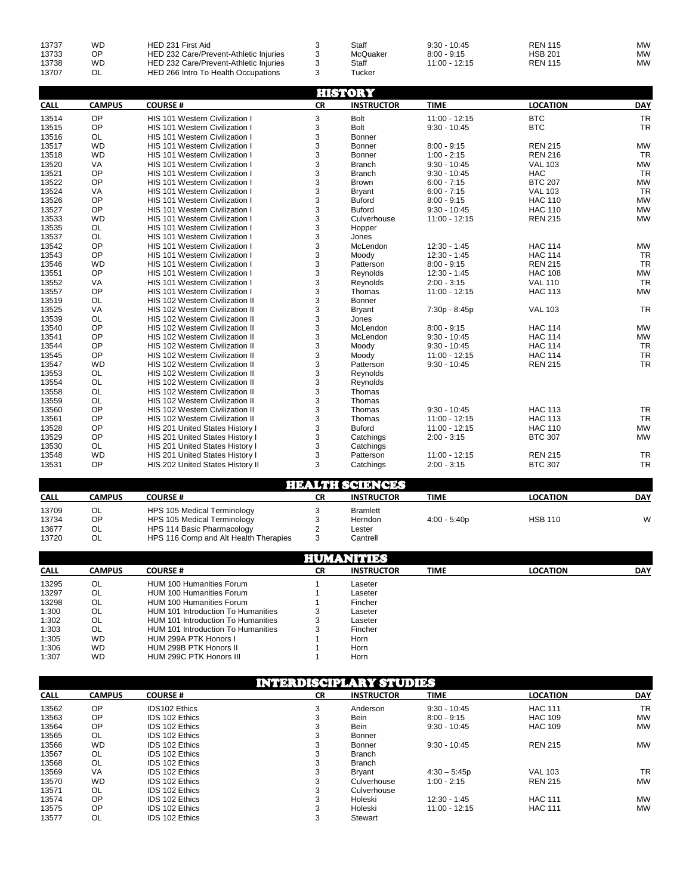| 13737<br>13733<br>13738<br>13707 | WD<br>ОP<br>WD | HED 231 First Aid<br>HED 232 Care/Prevent-Athletic Injuries<br>HED 232 Care/Prevent-Athletic Injuries<br>HED 266 Intro To Health Occupations |  | Staff<br>McQuaker<br>Staff<br>⊺ucker | $9:30 - 10:45$<br>$8:00 - 9:15$<br>$11:00 - 12:15$ | <b>REN 115</b><br><b>HSB 201</b><br><b>REN 115</b> | MW<br>MW<br>MW |
|----------------------------------|----------------|----------------------------------------------------------------------------------------------------------------------------------------------|--|--------------------------------------|----------------------------------------------------|----------------------------------------------------|----------------|
|----------------------------------|----------------|----------------------------------------------------------------------------------------------------------------------------------------------|--|--------------------------------------|----------------------------------------------------|----------------------------------------------------|----------------|

|             |               |                                       |           | <b>HISTORY</b>         |                 |                 |            |
|-------------|---------------|---------------------------------------|-----------|------------------------|-----------------|-----------------|------------|
| <b>CALL</b> | <b>CAMPUS</b> | <b>COURSE#</b>                        | <b>CR</b> | <b>INSTRUCTOR</b>      | <b>TIME</b>     | <b>LOCATION</b> | <b>DAY</b> |
| 13514       | OP            | HIS 101 Western Civilization I        | 3         | <b>Bolt</b>            | $11:00 - 12:15$ | <b>BTC</b>      | <b>TR</b>  |
| 13515       | OP            | HIS 101 Western Civilization I        | 3         | <b>Bolt</b>            | $9:30 - 10:45$  | <b>BTC</b>      | <b>TR</b>  |
| 13516       | <b>OL</b>     | HIS 101 Western Civilization I        | 3         | Bonner                 |                 |                 |            |
| 13517       | <b>WD</b>     | HIS 101 Western Civilization I        | 3         | Bonner                 | $8:00 - 9:15$   | <b>REN 215</b>  | <b>MW</b>  |
| 13518       | <b>WD</b>     | HIS 101 Western Civilization I        | 3         | Bonner                 | $1:00 - 2:15$   | <b>REN 216</b>  | <b>TR</b>  |
| 13520       | VA            | HIS 101 Western Civilization I        | 3         | <b>Branch</b>          | $9:30 - 10:45$  | <b>VAL 103</b>  | <b>MW</b>  |
| 13521       | OP            | HIS 101 Western Civilization I        | 3         | <b>Branch</b>          | $9:30 - 10:45$  | <b>HAC</b>      | <b>TR</b>  |
| 13522       | OP            | HIS 101 Western Civilization I        | 3         | Brown                  | $6:00 - 7:15$   | <b>BTC 207</b>  | <b>MW</b>  |
| 13524       | VA            | HIS 101 Western Civilization I        | 3         | <b>Bryant</b>          | $6:00 - 7:15$   | <b>VAL 103</b>  | <b>TR</b>  |
| 13526       | OP            | <b>HIS 101 Western Civilization I</b> | 3         | <b>Buford</b>          | $8:00 - 9:15$   | <b>HAC 110</b>  | <b>MW</b>  |
| 13527       | OP            | HIS 101 Western Civilization I        | 3         | <b>Buford</b>          | $9:30 - 10:45$  | <b>HAC 110</b>  | <b>MW</b>  |
| 13533       | <b>WD</b>     | HIS 101 Western Civilization I        | 3         | Culverhouse            | 11:00 - 12:15   | <b>REN 215</b>  | <b>MW</b>  |
| 13535       | <b>OL</b>     | HIS 101 Western Civilization I        | 3         | Hopper                 |                 |                 |            |
| 13537       | <b>OL</b>     | HIS 101 Western Civilization I        | 3         | Jones                  |                 |                 |            |
| 13542       | OP            | HIS 101 Western Civilization I        | 3         | McLendon               | 12:30 - 1:45    | <b>HAC 114</b>  | <b>MW</b>  |
| 13543       | OP            | HIS 101 Western Civilization I        | 3         | Moodv                  | $12:30 - 1:45$  | <b>HAC 114</b>  | <b>TR</b>  |
| 13546       | <b>WD</b>     | HIS 101 Western Civilization I        | 3         | Patterson              | $8:00 - 9:15$   | <b>REN 215</b>  | <b>TR</b>  |
| 13551       | OP            | HIS 101 Western Civilization I        | 3         | Reynolds               | 12:30 - 1:45    | <b>HAC 108</b>  | <b>MW</b>  |
| 13552       | VA            | HIS 101 Western Civilization I        | 3         | Reynolds               | $2:00 - 3:15$   | <b>VAL 110</b>  | <b>TR</b>  |
| 13557       | OP            | HIS 101 Western Civilization I        | 3         | Thomas                 | 11:00 - 12:15   | <b>HAC 113</b>  | <b>MW</b>  |
| 13519       | <b>OL</b>     | HIS 102 Western Civilization II       | 3         | Bonner                 |                 |                 |            |
| 13525       | VA            | HIS 102 Western Civilization II       | 3         | <b>Bryant</b>          | 7:30p - 8:45p   | <b>VAL 103</b>  | <b>TR</b>  |
| 13539       | <b>OL</b>     | HIS 102 Western Civilization II       | 3         | Jones                  |                 |                 |            |
| 13540       | OP            | HIS 102 Western Civilization II       | 3         | McLendon               | $8:00 - 9:15$   | <b>HAC 114</b>  | <b>MW</b>  |
| 13541       | OP            | HIS 102 Western Civilization II       | 3         | McLendon               | $9:30 - 10:45$  | <b>HAC 114</b>  | <b>MW</b>  |
| 13544       | OP            | HIS 102 Western Civilization II       | 3         | Moody                  | $9:30 - 10:45$  | <b>HAC 114</b>  | <b>TR</b>  |
| 13545       | OP            | HIS 102 Western Civilization II       | 3         | Moody                  | $11:00 - 12:15$ | <b>HAC 114</b>  | <b>TR</b>  |
| 13547       | <b>WD</b>     | HIS 102 Western Civilization II       | 3         | Patterson              | $9:30 - 10:45$  | <b>REN 215</b>  | <b>TR</b>  |
| 13553       | <b>OL</b>     | HIS 102 Western Civilization II       | 3         | Reynolds               |                 |                 |            |
| 13554       | <b>OL</b>     | HIS 102 Western Civilization II       | 3         | Reynolds               |                 |                 |            |
| 13558       | <b>OL</b>     | HIS 102 Western Civilization II       | 3         | Thomas                 |                 |                 |            |
| 13559       | <b>OL</b>     | HIS 102 Western Civilization II       | 3         | Thomas                 |                 |                 |            |
| 13560       | OP            | HIS 102 Western Civilization II       | 3         | Thomas                 | $9:30 - 10:45$  | <b>HAC 113</b>  | <b>TR</b>  |
| 13561       | OP            | HIS 102 Western Civilization II       | 3         | Thomas                 | 11:00 - 12:15   | <b>HAC 113</b>  | <b>TR</b>  |
| 13528       | OP            | HIS 201 United States History I       | 3         | <b>Buford</b>          | $11:00 - 12:15$ | <b>HAC 110</b>  | <b>MW</b>  |
| 13529       | OP            | HIS 201 United States History I       | 3         | Catchings              | $2:00 - 3:15$   | <b>BTC 307</b>  | <b>MW</b>  |
| 13530       | <b>OL</b>     | HIS 201 United States History I       | 3         | Catchings              |                 |                 |            |
| 13548       | <b>WD</b>     | HIS 201 United States History I       | 3         | Patterson              | $11:00 - 12:15$ | <b>REN 215</b>  | <b>TR</b>  |
| 13531       | OP            | HIS 202 United States History II      | 3         | Catchings              | $2:00 - 3:15$   | <b>BTC 307</b>  | <b>TR</b>  |
|             |               |                                       |           | <b>HEALTH SCIENCES</b> |                 |                 |            |
| <b>CALL</b> | <b>CAMPUS</b> | <b>COURSE#</b>                        | CR        | <b>INSTRUCTOR</b>      | <b>TIME</b>     | <b>LOCATION</b> | <b>DAY</b> |
|             |               |                                       |           |                        |                 |                 |            |
| 13709       | <b>OL</b>     | HPS 105 Medical Terminology           | 3         | <b>Bramlett</b>        |                 |                 |            |
| 13734       | OP            | HPS 105 Medical Terminology           | 3         | Herndon                | $4:00 - 5:40p$  | <b>HSB 110</b>  | W          |
| 13677       | <b>OL</b>     | HPS 114 Basic Pharmacology            | 2         | Lester                 |                 |                 |            |
| 13720       | <b>OL</b>     | HPS 116 Comp and Alt Health Therapies | 3         | Cantrell               |                 |                 |            |
|             |               |                                       |           |                        |                 |                 |            |

|             | HUMANITIES |                                           |    |                   |             |                 |            |  |  |  |  |
|-------------|------------|-------------------------------------------|----|-------------------|-------------|-----------------|------------|--|--|--|--|
| <b>CALL</b> | CAMPUS     | <b>COURSE#</b>                            | СR | <b>INSTRUCTOR</b> | <b>TIME</b> | <b>LOCATION</b> | <b>DAY</b> |  |  |  |  |
| 13295       | OL         | <b>HUM 100 Humanities Forum</b>           |    | Laseter           |             |                 |            |  |  |  |  |
| 13297       | OL         | HUM 100 Humanities Forum                  |    | Laseter           |             |                 |            |  |  |  |  |
| 13298       | OL         | <b>HUM 100 Humanities Forum</b>           |    | Fincher           |             |                 |            |  |  |  |  |
| 1:300       | OL         | HUM 101 Introduction To Humanities        |    | Laseter           |             |                 |            |  |  |  |  |
| 1:302       | OL         | HUM 101 Introduction To Humanities        |    | Laseter           |             |                 |            |  |  |  |  |
| 1:303       | OL         | <b>HUM 101 Introduction To Humanities</b> |    | Fincher           |             |                 |            |  |  |  |  |
| 1:305       | <b>WD</b>  | HUM 299A PTK Honors I                     |    | Horn              |             |                 |            |  |  |  |  |
| 1:306       | <b>WD</b>  | HUM 299B PTK Honors II                    |    | Horn              |             |                 |            |  |  |  |  |
| 1:307       | WD.        | HUM 299C PTK Honors III                   |    | Horn              |             |                 |            |  |  |  |  |

|             | INTERDISCIPLARY STUDIES |                       |           |                   |                 |                 |            |  |  |  |  |
|-------------|-------------------------|-----------------------|-----------|-------------------|-----------------|-----------------|------------|--|--|--|--|
| <b>CALL</b> | <b>CAMPUS</b>           | <b>COURSE#</b>        | <b>CR</b> | <b>INSTRUCTOR</b> | <b>TIME</b>     | <b>LOCATION</b> | <b>DAY</b> |  |  |  |  |
| 13562       | <b>OP</b>               | <b>IDS102 Ethics</b>  | 3         | Anderson          | $9:30 - 10:45$  | <b>HAC 111</b>  | <b>TR</b>  |  |  |  |  |
| 13563       | OP                      | <b>IDS 102 Ethics</b> | 3         | Bein              | $8:00 - 9:15$   | <b>HAC 109</b>  | <b>MW</b>  |  |  |  |  |
| 13564       | <b>OP</b>               | <b>IDS 102 Ethics</b> | 5         | Bein              | $9:30 - 10:45$  | <b>HAC 109</b>  | <b>MW</b>  |  |  |  |  |
| 13565       | OL                      | <b>IDS 102 Ethics</b> | 3         | Bonner            |                 |                 |            |  |  |  |  |
| 13566       | <b>WD</b>               | <b>IDS 102 Ethics</b> | 3         | Bonner            | $9:30 - 10:45$  | <b>REN 215</b>  | <b>MW</b>  |  |  |  |  |
| 13567       | OL                      | <b>IDS 102 Ethics</b> | 3         | <b>Branch</b>     |                 |                 |            |  |  |  |  |
| 13568       | OL.                     | <b>IDS 102 Ethics</b> | 3         | <b>Branch</b>     |                 |                 |            |  |  |  |  |
| 13569       | VA                      | <b>IDS 102 Ethics</b> | 3         | <b>Brvant</b>     | $4:30 - 5:45p$  | <b>VAL 103</b>  | <b>TR</b>  |  |  |  |  |
| 13570       | <b>WD</b>               | <b>IDS 102 Ethics</b> | 3         | Culverhouse       | $1:00 - 2:15$   | <b>REN 215</b>  | <b>MW</b>  |  |  |  |  |
| 13571       | OL                      | <b>IDS 102 Ethics</b> | 3         | Culverhouse       |                 |                 |            |  |  |  |  |
| 13574       | <b>OP</b>               | <b>IDS 102 Ethics</b> | 3         | Holeski           | $12:30 - 1:45$  | <b>HAC 111</b>  | <b>MW</b>  |  |  |  |  |
| 13575       | <b>OP</b>               | <b>IDS 102 Ethics</b> | 3         | Holeski           | $11:00 - 12:15$ | <b>HAC 111</b>  | <b>MW</b>  |  |  |  |  |
| 13577       | OL                      | <b>IDS 102 Ethics</b> | 3         | Stewart           |                 |                 |            |  |  |  |  |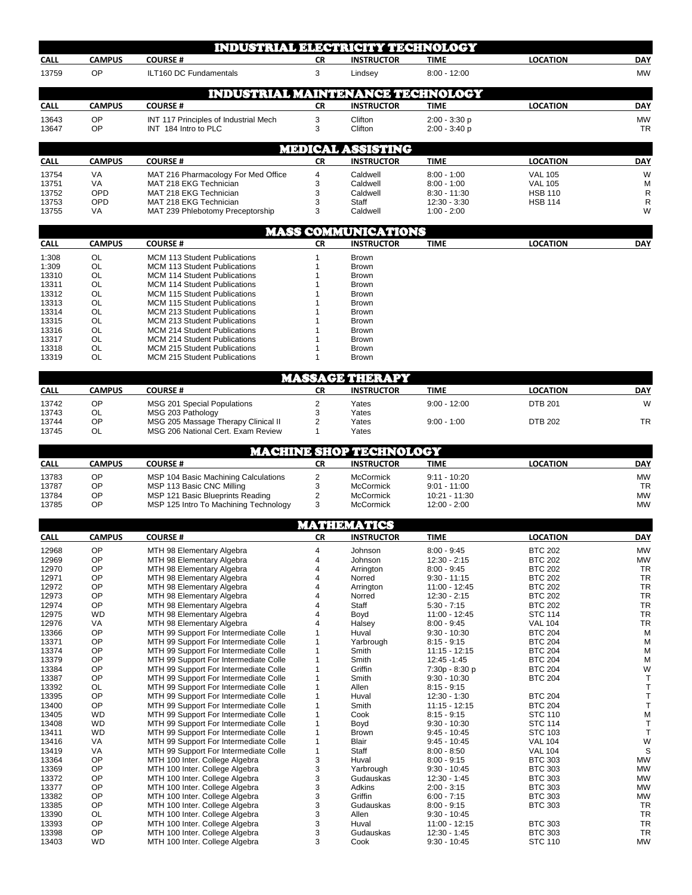|                |                     | <b>INDUSTRIAL ELECTRICITY TECHNOLOGY</b>                                       |                     |                                                 |                                  |                                  |                        |
|----------------|---------------------|--------------------------------------------------------------------------------|---------------------|-------------------------------------------------|----------------------------------|----------------------------------|------------------------|
| <b>CALL</b>    | <b>CAMPUS</b>       | <b>COURSE#</b>                                                                 | <b>CR</b>           | <b>INSTRUCTOR</b>                               | <b>TIME</b>                      | <b>LOCATION</b>                  | <b>DAY</b>             |
| 13759          | OP                  | ILT160 DC Fundamentals                                                         | 3                   | Lindsey                                         | $8:00 - 12:00$                   |                                  | <b>MW</b>              |
|                |                     | <b>INDUSTRIAL MAINTENANCE TECHNOLOGY</b>                                       |                     |                                                 |                                  |                                  |                        |
| <b>CALL</b>    | <b>CAMPUS</b>       | <b>COURSE#</b>                                                                 | <b>CR</b>           | <b>INSTRUCTOR</b>                               | <b>TIME</b>                      | <b>LOCATION</b>                  | <b>DAY</b>             |
| 13643          | OP                  | INT 117 Principles of Industrial Mech                                          | 3                   | Clifton                                         | $2:00 - 3:30 p$                  |                                  | <b>MW</b>              |
| 13647          | OP                  | INT 184 Intro to PLC                                                           | 3                   | Clifton                                         | $2:00 - 3:40 p$                  |                                  | <b>TR</b>              |
|                |                     |                                                                                |                     | <b>MEDICAL ASSISTING</b>                        |                                  |                                  |                        |
| <b>CALL</b>    | <b>CAMPUS</b>       | <b>COURSE#</b>                                                                 | CR                  | <b>INSTRUCTOR</b>                               | <b>TIME</b>                      | <b>LOCATION</b>                  | <b>DAY</b>             |
| 13754<br>13751 | VA<br>VA            | MAT 216 Pharmacology For Med Office<br>MAT 218 EKG Technician                  | $\overline{4}$<br>3 | Caldwell<br>Caldwell                            | $8:00 - 1:00$<br>$8:00 - 1:00$   | <b>VAL 105</b><br><b>VAL 105</b> | W<br>M                 |
| 13752          | OPD                 | MAT 218 EKG Technician                                                         | 3                   | Caldwell                                        | $8:30 - 11:30$                   | <b>HSB 110</b>                   | $\mathsf{R}$           |
| 13753<br>13755 | OPD<br>VA           | MAT 218 EKG Technician<br>MAT 239 Phlebotomy Preceptorship                     | 3<br>3              | Staff<br>Caldwell                               | $12:30 - 3:30$<br>$1:00 - 2:00$  | <b>HSB 114</b>                   | $\mathsf{R}$<br>W      |
|                |                     |                                                                                |                     |                                                 |                                  |                                  |                        |
| <b>CALL</b>    | <b>CAMPUS</b>       | <b>COURSE#</b>                                                                 | CR                  | <b>MASS COMMUNICATIONS</b><br><b>INSTRUCTOR</b> | <b>TIME</b>                      | <b>LOCATION</b>                  | <b>DAY</b>             |
| 1:308          | OL                  | <b>MCM 113 Student Publications</b>                                            | 1                   | Brown                                           |                                  |                                  |                        |
| 1:309          | <b>OL</b>           | <b>MCM 113 Student Publications</b>                                            | 1                   | <b>Brown</b>                                    |                                  |                                  |                        |
| 13310          | <b>OL</b>           | <b>MCM 114 Student Publications</b>                                            | 1                   | Brown                                           |                                  |                                  |                        |
| 13311<br>13312 | OL<br><b>OL</b>     | <b>MCM 114 Student Publications</b><br><b>MCM 115 Student Publications</b>     | 1<br>1              | Brown<br><b>Brown</b>                           |                                  |                                  |                        |
| 13313          | OL                  | MCM 115 Student Publications                                                   | 1                   | <b>Brown</b>                                    |                                  |                                  |                        |
| 13314          | OL                  | <b>MCM 213 Student Publications</b>                                            | 1                   | Brown                                           |                                  |                                  |                        |
| 13315          | <b>OL</b>           | <b>MCM 213 Student Publications</b>                                            |                     | <b>Brown</b>                                    |                                  |                                  |                        |
| 13316          | OL                  | <b>MCM 214 Student Publications</b>                                            | 1                   | <b>Brown</b>                                    |                                  |                                  |                        |
| 13317<br>13318 | OL<br>OL            | <b>MCM 214 Student Publications</b><br><b>MCM 215 Student Publications</b>     | 1<br>1              | Brown<br>Brown                                  |                                  |                                  |                        |
| 13319          | OL                  | <b>MCM 215 Student Publications</b>                                            | 1                   | <b>Brown</b>                                    |                                  |                                  |                        |
|                |                     |                                                                                |                     | <b>MASSAGE THERAPY</b>                          |                                  |                                  |                        |
| <b>CALL</b>    | <b>CAMPUS</b>       | <b>COURSE#</b>                                                                 | <b>CR</b>           | <b>INSTRUCTOR</b>                               | <b>TIME</b>                      | <b>LOCATION</b>                  | <b>DAY</b>             |
| 13742          | OP                  | MSG 201 Special Populations                                                    | $\overline{2}$      | Yates                                           | $9:00 - 12:00$                   | <b>DTB 201</b>                   | W                      |
| 13743          | OL                  | MSG 203 Pathology                                                              | 3                   | Yates                                           |                                  |                                  |                        |
| 13744<br>13745 | ОP<br><b>OL</b>     | MSG 205 Massage Therapy Clinical II<br>MSG 206 National Cert. Exam Review      | 2<br>1              | Yates<br>Yates                                  | $9:00 - 1:00$                    | <b>DTB 202</b>                   | TR                     |
|                |                     |                                                                                |                     |                                                 |                                  |                                  |                        |
|                |                     |                                                                                |                     | MACHINE SHOP TECHNOLOGY                         |                                  |                                  |                        |
| <b>CALL</b>    | <b>CAMPUS</b><br>OP | <b>COURSE#</b>                                                                 | CR                  | <b>INSTRUCTOR</b>                               | <b>TIME</b>                      | <b>LOCATION</b>                  | <b>DAY</b>             |
| 13783<br>13787 | OP                  | MSP 104 Basic Machining Calculations<br>MSP 113 Basic CNC Milling              | $\overline{2}$<br>3 | <b>McCormick</b><br><b>McCormick</b>            | $9:11 - 10:20$<br>$9:01 - 11:00$ |                                  | <b>MW</b><br>TR        |
| 13784          | OP                  | MSP 121 Basic Blueprints Reading                                               | $\overline{2}$      | <b>McCormick</b>                                | 10:21 - 11:30                    |                                  | <b>MW</b>              |
| 13785          | OP                  | MSP 125 Intro To Machining Technology                                          | 3                   | McCormick                                       | 12:00 - 2:00                     |                                  | <b>MW</b>              |
|                |                     |                                                                                |                     | MATHEMATICS                                     |                                  |                                  |                        |
| <b>CALL</b>    | <b>CAMPUS</b>       | <b>COURSE#</b>                                                                 | СR                  | <b>INSTRUCTOR</b>                               | <b>TIME</b>                      | <b>LOCATION</b>                  | <b>DAY</b>             |
| 12968          | OP                  | MTH 98 Elementary Algebra                                                      | 4                   | Johnson                                         | $8:00 - 9:45$                    | <b>BTC 202</b>                   | <b>MW</b>              |
| 12969          | OP                  | MTH 98 Elementary Algebra                                                      | 4                   | Johnson                                         | $12:30 - 2:15$                   | <b>BTC 202</b>                   | <b>MW</b>              |
| 12970          | OP                  | MTH 98 Elementary Algebra                                                      | 4                   | Arrington                                       | $8:00 - 9:45$                    | <b>BTC 202</b>                   | TR                     |
| 12971<br>12972 | OP<br>OP            | MTH 98 Elementary Algebra<br>MTH 98 Elementary Algebra                         | 4<br>4              | Norred<br>Arrington                             | $9:30 - 11:15$<br>11:00 - 12:45  | <b>BTC 202</b><br><b>BTC 202</b> | <b>TR</b><br><b>TR</b> |
| 12973          | OP                  | MTH 98 Elementary Algebra                                                      | 4                   | Norred                                          | $12:30 - 2:15$                   | <b>BTC 202</b>                   | TR                     |
| 12974          | OP                  | MTH 98 Elementary Algebra                                                      | 4                   | Staff                                           | $5:30 - 7:15$                    | <b>BTC 202</b>                   | <b>TR</b>              |
| 12975          | <b>WD</b>           | MTH 98 Elementary Algebra                                                      | 4                   | Boyd                                            | 11:00 - 12:45                    | <b>STC 114</b>                   | <b>TR</b>              |
| 12976<br>13366 | VA<br>OP            | MTH 98 Elementary Algebra<br>MTH 99 Support For Intermediate Colle             | 4<br>1              | Halsey<br>Huval                                 | $8:00 - 9:45$<br>$9:30 - 10:30$  | <b>VAL 104</b><br><b>BTC 204</b> | <b>TR</b><br>M         |
| 13371          | OP                  | MTH 99 Support For Intermediate Colle                                          | 1                   | Yarbrough                                       | $8:15 - 9:15$                    | <b>BTC 204</b>                   | M                      |
| 13374          | OP                  | MTH 99 Support For Intermediate Colle                                          | 1                   | Smith                                           | $11:15 - 12:15$                  | <b>BTC 204</b>                   | M                      |
| 13379          | OP                  | MTH 99 Support For Intermediate Colle                                          | 1                   | Smith                                           | 12:45 - 1:45                     | <b>BTC 204</b>                   | M                      |
| 13384          | OP<br>OP            | MTH 99 Support For Intermediate Colle                                          | 1                   | Griffin                                         | 7:30p - 8:30 p                   | <b>BTC 204</b>                   | W                      |
| 13387<br>13392 | OL                  | MTH 99 Support For Intermediate Colle<br>MTH 99 Support For Intermediate Colle | 1<br>1              | Smith<br>Allen                                  | $9:30 - 10:30$<br>$8:15 - 9:15$  | <b>BTC 204</b>                   | Τ<br>Τ                 |
| 13395          | OP                  | MTH 99 Support For Intermediate Colle                                          | 1                   | Huval                                           | 12:30 - 1:30                     | <b>BTC 204</b>                   | T                      |
| 13400          | OP                  | MTH 99 Support For Intermediate Colle                                          | 1                   | Smith                                           | $11:15 - 12:15$                  | <b>BTC 204</b>                   | Τ                      |
| 13405          | <b>WD</b>           | MTH 99 Support For Intermediate Colle                                          | 1                   | Cook                                            | $8:15 - 9:15$                    | <b>STC 110</b>                   | M                      |
| 13408          | WD                  | MTH 99 Support For Intermediate Colle                                          | 1                   | Boyd                                            | $9:30 - 10:30$                   | <b>STC 114</b>                   | T                      |
| 13411<br>13416 | <b>WD</b><br>VA     | MTH 99 Support For Intermediate Colle<br>MTH 99 Support For Intermediate Colle | 1<br>1              | <b>Brown</b><br>Blair                           | $9:45 - 10:45$<br>$9:45 - 10:45$ | <b>STC 103</b><br><b>VAL 104</b> | T<br>W                 |
| 13419          | VA                  | MTH 99 Support For Intermediate Colle                                          | 1                   | Staff                                           | $8:00 - 8:50$                    | <b>VAL 104</b>                   | S                      |
| 13364          | OP                  | MTH 100 Inter. College Algebra                                                 | 3                   | Huval                                           | $8:00 - 9:15$                    | <b>BTC 303</b>                   | <b>MW</b>              |
| 13369          | OP                  | MTH 100 Inter. College Algebra                                                 | 3                   | Yarbrough                                       | $9:30 - 10:45$                   | <b>BTC 303</b>                   | <b>MW</b>              |
| 13372          | OP                  | MTH 100 Inter. College Algebra                                                 | 3                   | Gudauskas                                       | 12:30 - 1:45                     | <b>BTC 303</b>                   | <b>MW</b>              |
| 13377<br>13382 | OP<br>OP            | MTH 100 Inter. College Algebra<br>MTH 100 Inter. College Algebra               | 3<br>3              | Adkins<br>Griffin                               | $2:00 - 3:15$<br>$6:00 - 7:15$   | <b>BTC 303</b><br><b>BTC 303</b> | <b>MW</b><br>MW        |
| 13385          | OP                  | MTH 100 Inter. College Algebra                                                 | 3                   | Gudauskas                                       | $8:00 - 9:15$                    | <b>BTC 303</b>                   | TR                     |
| 13390          | OL                  | MTH 100 Inter. College Algebra                                                 | 3                   | Allen                                           | $9:30 - 10:45$                   |                                  | <b>TR</b>              |
| 13393          | OP                  | MTH 100 Inter. College Algebra                                                 | 3                   | Huval                                           | 11:00 - 12:15                    | <b>BTC 303</b>                   | TR                     |
| 13398<br>13403 | OP<br><b>WD</b>     | MTH 100 Inter. College Algebra<br>MTH 100 Inter. College Algebra               | 3<br>3              | Gudauskas<br>Cook                               | 12:30 - 1:45<br>$9:30 - 10:45$   | <b>BTC 303</b><br><b>STC 110</b> | <b>TR</b><br><b>MW</b> |
|                |                     |                                                                                |                     |                                                 |                                  |                                  |                        |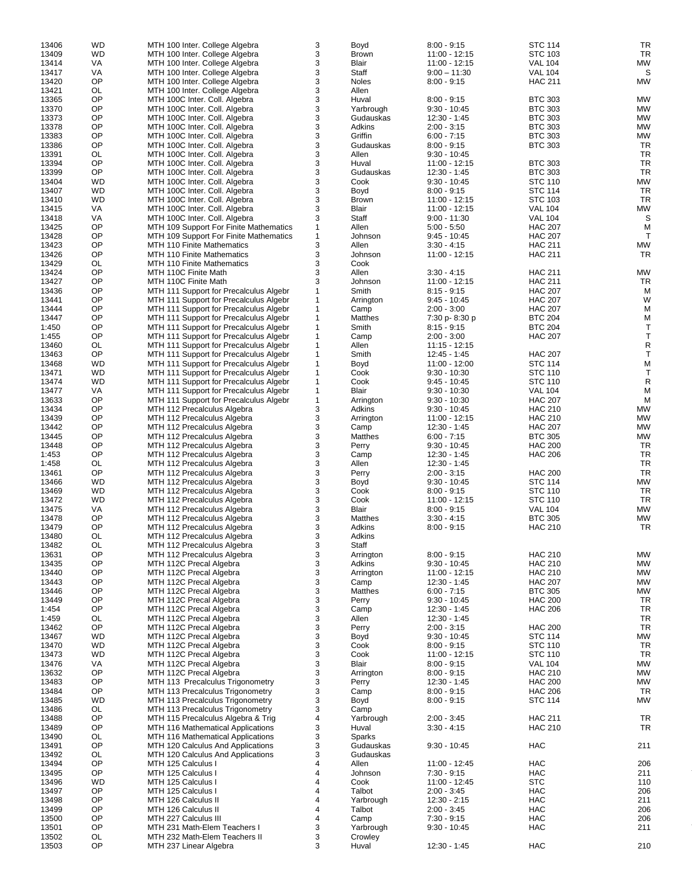| 13406          | <b>WD</b> | MTH 100 Inter. College Algebra                          | 3            | Boyd             | $8:00 - 9:15$   | <b>STC 114</b> | <b>TR</b>    |
|----------------|-----------|---------------------------------------------------------|--------------|------------------|-----------------|----------------|--------------|
| 13409          | <b>WD</b> | MTH 100 Inter. College Algebra                          | 3            | Brown            | $11:00 - 12:15$ | STC 103        | <b>TR</b>    |
| 13414          | VA        | MTH 100 Inter. College Algebra                          | 3            | Blair            | 11:00 - 12:15   | <b>VAL 104</b> | <b>MW</b>    |
|                |           |                                                         |              |                  |                 |                |              |
| 13417          | VA        | MTH 100 Inter. College Algebra                          | 3            | Staff            | $9:00 - 11:30$  | <b>VAL 104</b> | S            |
| 13420          | OP        | MTH 100 Inter. College Algebra                          | 3            | Noles            | $8:00 - 9:15$   | <b>HAC 211</b> | MW           |
| 13421          | OL        | MTH 100 Inter. College Algebra                          | 3            | Allen            |                 |                |              |
| 13365          | OP        | MTH 100C Inter. Coll. Algebra                           | 3            | Huval            | $8:00 - 9:15$   | <b>BTC 303</b> | <b>MW</b>    |
| 13370          | OP        | MTH 100C Inter. Coll. Algebra                           | 3            | Yarbrough        | $9:30 - 10:45$  | <b>BTC 303</b> | MW           |
| 13373          | OP        | MTH 100C Inter. Coll. Algebra                           | 3            | Gudauskas        | 12:30 - 1:45    | <b>BTC 303</b> | <b>MW</b>    |
| 13378          | OP        | MTH 100C Inter. Coll. Algebra                           | 3            | Adkins           | $2:00 - 3:15$   | <b>BTC 303</b> | <b>MW</b>    |
| 13383          | OP        | MTH 100C Inter. Coll. Algebra                           | 3            | Griffin          | $6:00 - 7:15$   | <b>BTC 303</b> | MW           |
|                | OP        |                                                         | 3            | Gudauskas        |                 |                | <b>TR</b>    |
| 13386          |           | MTH 100C Inter. Coll. Algebra                           |              |                  | $8:00 - 9:15$   | <b>BTC 303</b> |              |
| 13391          | OL        | MTH 100C Inter. Coll. Algebra                           | 3            | Allen            | $9:30 - 10:45$  |                | <b>TR</b>    |
| 13394          | OP        | MTH 100C Inter. Coll. Algebra                           | 3            | Huval            | $11:00 - 12:15$ | <b>BTC 303</b> | <b>TR</b>    |
| 13399          | OP        | MTH 100C Inter. Coll. Algebra                           | 3            | Gudauskas        | $12:30 - 1:45$  | <b>BTC 303</b> | <b>TR</b>    |
| 13404          | <b>WD</b> | MTH 100C Inter. Coll. Algebra                           | 3            | Cook             | $9:30 - 10:45$  | <b>STC 110</b> | <b>MW</b>    |
| 13407          | <b>WD</b> | MTH 100C Inter. Coll. Algebra                           | 3            | Boyd             | $8:00 - 9:15$   | <b>STC 114</b> | <b>TR</b>    |
| 13410          | <b>WD</b> | MTH 100C Inter. Coll. Algebra                           | 3            | Brown            | $11:00 - 12:15$ | STC 103        | <b>TR</b>    |
| 13415          | VA        | MTH 100C Inter. Coll. Algebra                           | 3            | Blair            | 11:00 - 12:15   | <b>VAL 104</b> | <b>MW</b>    |
| 13418          | VA        | MTH 100C Inter. Coll. Algebra                           | 3            | Staff            | $9:00 - 11:30$  | <b>VAL 104</b> | S            |
|                | OP        |                                                         |              | Allen            | $5:00 - 5:50$   |                | M            |
| 13425          |           | MTH 109 Support For Finite Mathematics                  | $\mathbf{1}$ |                  |                 | <b>HAC 207</b> |              |
| 13428          | OP        | MTH 109 Support For Finite Mathematics                  | $\mathbf{1}$ | Johnson          | $9:45 - 10:45$  | <b>HAC 207</b> | $\mathsf{T}$ |
| 13423          | OP        | MTH 110 Finite Mathematics                              | 3            | Allen            | $3:30 - 4:15$   | <b>HAC 211</b> | <b>MW</b>    |
| 13426          | OP        | MTH 110 Finite Mathematics                              | 3            | Johnson          | 11:00 - 12:15   | <b>HAC 211</b> | TR           |
| 13429          | OL        | MTH 110 Finite Mathematics                              | 3            | Cook             |                 |                |              |
| 13424          | OP        | MTH 110C Finite Math                                    | 3            | Allen            | $3:30 - 4:15$   | <b>HAC 211</b> | <b>MW</b>    |
| 13427          | OP        | MTH 110C Finite Math                                    | 3            | Johnson          | 11:00 - 12:15   | <b>HAC 211</b> | TR           |
| 13436          | OP        | MTH 111 Support for Precalculus Algebr                  | $\mathbf{1}$ | Smith            | $8:15 - 9:15$   | <b>HAC 207</b> | M            |
| 13441          | OP        | MTH 111 Support for Precalculus Algebr                  | $\mathbf{1}$ | Arrington        | $9:45 - 10:45$  | <b>HAC 207</b> | W            |
|                |           |                                                         |              |                  |                 |                |              |
| 13444          | OP        | MTH 111 Support for Precalculus Algebr                  | $\mathbf{1}$ | Camp             | $2:00 - 3:00$   | <b>HAC 207</b> | М            |
| 13447          | OP        | MTH 111 Support for Precalculus Algebr                  | $\mathbf{1}$ | Matthes          | 7:30 p-8:30 p   | <b>BTC 204</b> | М            |
| 1:450          | OP        | MTH 111 Support for Precalculus Algebr                  | $\mathbf{1}$ | Smith            | $8:15 - 9:15$   | <b>BTC 204</b> | Τ            |
| 1:455          | OP        | MTH 111 Support for Precalculus Algebr                  | $\mathbf{1}$ | Camp             | $2:00 - 3:00$   | <b>HAC 207</b> | $\mathsf T$  |
| 13460          | OL        | MTH 111 Support for Precalculus Algebr                  | $\mathbf{1}$ | Allen            | $11:15 - 12:15$ |                | R            |
| 13463          | OP        | MTH 111 Support for Precalculus Algebr                  | $\mathbf{1}$ | Smith            | 12:45 - 1:45    | <b>HAC 207</b> | Т            |
| 13468          | <b>WD</b> | MTH 111 Support for Precalculus Algebr                  | $\mathbf{1}$ | Boyd             | 11:00 - 12:00   | <b>STC 114</b> | M            |
| 13471          | <b>WD</b> | MTH 111 Support for Precalculus Algebr                  | $\mathbf{1}$ | Cook             | $9:30 - 10:30$  | <b>STC 110</b> | $\mathsf T$  |
| 13474          | <b>WD</b> | MTH 111 Support for Precalculus Algebr                  | $\mathbf{1}$ | Cook             | $9:45 - 10:45$  | <b>STC 110</b> | $\mathsf{R}$ |
| 13477          | VA        |                                                         | $\mathbf{1}$ | Blair            | $9:30 - 10:30$  | <b>VAL 104</b> | М            |
|                |           | MTH 111 Support for Precalculus Algebr                  |              |                  |                 |                |              |
| 13633          | OP        | MTH 111 Support for Precalculus Algebr                  | $\mathbf{1}$ | Arrington        | $9:30 - 10:30$  | <b>HAC 207</b> | M            |
| 13434          | OP        | MTH 112 Precalculus Algebra                             | 3            | Adkins           | $9:30 - 10:45$  | <b>HAC 210</b> | <b>MW</b>    |
| 13439          | OP        | MTH 112 Precalculus Algebra                             | 3            | Arrington        | 11:00 - 12:15   | <b>HAC 210</b> | <b>MW</b>    |
| 13442          | OP        | MTH 112 Precalculus Algebra                             | 3            | Camp             | $12:30 - 1:45$  | <b>HAC 207</b> | MW           |
| 13445          | OP        | MTH 112 Precalculus Algebra                             | 3            | Matthes          | $6:00 - 7:15$   | <b>BTC 305</b> | <b>MW</b>    |
| 13448          | OP        | MTH 112 Precalculus Algebra                             | 3            | Perry            | $9:30 - 10:45$  | <b>HAC 200</b> | TR           |
| 1:453          | OP        | MTH 112 Precalculus Algebra                             | 3            | Camp             | 12:30 - 1:45    | <b>HAC 206</b> | <b>TR</b>    |
| 1:458          | OL        | MTH 112 Precalculus Algebra                             | 3            | Allen            | 12:30 - 1:45    |                | <b>TR</b>    |
| 13461          | OP        |                                                         | 3            | Perry            |                 | <b>HAC 200</b> | <b>TR</b>    |
|                |           | MTH 112 Precalculus Algebra                             |              |                  | $2:00 - 3:15$   |                |              |
| 13466          | <b>WD</b> | MTH 112 Precalculus Algebra                             | 3            | Boyd             | $9:30 - 10:45$  | <b>STC 114</b> | <b>MW</b>    |
| 13469          | <b>WD</b> | MTH 112 Precalculus Algebra                             | 3            | Cook             | $8:00 - 9:15$   | <b>STC 110</b> | <b>TR</b>    |
| 13472          | WD        | MTH 112 Precalculus Algebra                             | 3            | Cook             | $11:00 - 12:15$ | <b>STC 110</b> | <b>TR</b>    |
| 13475          | VA        | MTH 112 Precalculus Algebra                             | 3            | Blair            | $8:00 - 9:15$   | <b>VAL 104</b> | <b>MW</b>    |
| 13478          | OP        | MTH 112 Precalculus Algebra                             | 3            | Matthes          | $3:30 - 4:15$   | <b>BTC 305</b> | <b>MW</b>    |
| 13479          | OP        | MTH 112 Precalculus Algebra                             | 3            | Adkins           | $8:00 - 9:15$   | <b>HAC 210</b> | TR           |
| 13480          | <b>OL</b> | MTH 112 Precalculus Algebra                             | 3            | Adkins           |                 |                |              |
| 13482          | OL        | MTH 112 Precalculus Algebra                             | 3            | Staff            |                 |                |              |
|                |           |                                                         |              |                  | $8:00 - 9:15$   |                |              |
| 13631          | OP        | MTH 112 Precalculus Algebra                             | 3            | Arrington        |                 | <b>HAC 210</b> | MW           |
| 13435          | OP        | MTH 112C Precal Algebra                                 | 3            | Adkins           | $9:30 - 10:45$  | <b>HAC 210</b> | <b>MW</b>    |
| 13440          | OP        | MTH 112C Precal Algebra                                 | 3            | Arrington        | 11:00 - 12:15   | <b>HAC 210</b> | MW           |
| 13443          | OP        | MTH 112C Precal Algebra                                 | 3            | Camp             | 12:30 - 1:45    | <b>HAC 207</b> | <b>MW</b>    |
| 13446          | OP        | MTH 112C Precal Algebra                                 | 3            | Matthes          | $6:00 - 7:15$   | <b>BTC 305</b> | MW           |
| 13449          | OP        | MTH 112C Precal Algebra                                 | 3            | Perry            | $9:30 - 10:45$  | <b>HAC 200</b> | TR           |
| 1:454          | OP        | MTH 112C Precal Algebra                                 | 3            | Camp             | 12:30 - 1:45    | <b>HAC 206</b> | TR           |
| 1:459          | OL        | MTH 112C Precal Algebra                                 | 3            | Allen            | 12:30 - 1:45    |                | TR           |
| 13462          | OP        | MTH 112C Precal Algebra                                 | 3            | Perry            | $2:00 - 3:15$   | <b>HAC 200</b> | TR           |
| 13467          | <b>WD</b> | MTH 112C Precal Algebra                                 | 3            | Boyd             | $9:30 - 10:45$  | <b>STC 114</b> | <b>MW</b>    |
|                |           |                                                         | 3            |                  |                 |                | TR           |
| 13470          | WD        | MTH 112C Precal Algebra                                 |              | Cook             | $8:00 - 9:15$   | <b>STC 110</b> |              |
| 13473          | <b>WD</b> | MTH 112C Precal Algebra                                 | 3            | Cook             | 11:00 - 12:15   | <b>STC 110</b> | <b>TR</b>    |
| 13476          | VA        | MTH 112C Precal Algebra                                 | 3            | Blair            | $8:00 - 9:15$   | <b>VAL 104</b> | <b>MW</b>    |
| 13632          | OP        | MTH 112C Precal Algebra                                 | 3            | Arrington        | $8:00 - 9:15$   | <b>HAC 210</b> | <b>MW</b>    |
| 13483          |           |                                                         |              | Perry            | 12:30 - 1:45    | <b>HAC 200</b> | MW           |
|                | OP        | MTH 113 Precalculus Trigonometry                        | 3            |                  |                 |                |              |
| 13484          | OP        | MTH 113 Precalculus Trigonometry                        | 3            | Camp             | $8:00 - 9:15$   | <b>HAC 206</b> | TR           |
| 13485          | <b>WD</b> | MTH 113 Precalculus Trigonometry                        | 3            | Boyd             | $8:00 - 9:15$   | <b>STC 114</b> | MW           |
| 13486          | OL        | MTH 113 Precalculus Trigonometry                        | 3            | Camp             |                 |                |              |
|                | OP        |                                                         | 4            |                  | $2:00 - 3:45$   | <b>HAC 211</b> |              |
| 13488          |           | MTH 115 Precalculus Algebra & Trig                      |              | Yarbrough        |                 |                | TR           |
| 13489          | OP        | MTH 116 Mathematical Applications                       | 3            | Huval            | $3:30 - 4:15$   | <b>HAC 210</b> | <b>TR</b>    |
| 13490          | OL        | MTH 116 Mathematical Applications                       | 3            | Sparks           |                 |                |              |
| 13491          | OP        | MTH 120 Calculus And Applications                       | 3            | Gudauskas        | $9:30 - 10:45$  | <b>HAC</b>     | 211          |
| 13492          | OL        | MTH 120 Calculus And Applications                       | 3            | Gudauskas        |                 |                |              |
| 13494          | OP        | MTH 125 Calculus I                                      | 4            | Allen            | 11:00 - 12:45   | <b>HAC</b>     | 206          |
| 13495          | OP        | MTH 125 Calculus I                                      | 4            | Johnson          | $7:30 - 9:15$   | <b>HAC</b>     | 211          |
| 13496          | <b>WD</b> | MTH 125 Calculus I                                      | 4            | Cook             | 11:00 - 12:45   | <b>STC</b>     | 110          |
| 13497          | OP        | MTH 125 Calculus I                                      | 4            | Talbot           | $2:00 - 3:45$   | <b>HAC</b>     | 206          |
| 13498          | OP        | MTH 126 Calculus II                                     | 4            | Yarbrough        | $12:30 - 2:15$  | HAC            | 211          |
|                |           |                                                         | 4            |                  |                 |                |              |
| 13499          | OP        | MTH 126 Calculus II                                     |              | Talbot           | $2:00 - 3:45$   | <b>HAC</b>     | 206          |
| 13500          | OP        | MTH 227 Calculus III                                    | 4            | Camp             | $7:30 - 9:15$   | <b>HAC</b>     | 206          |
| 13501          | OP        | MTH 231 Math-Elem Teachers I                            | 3            | Yarbrough        | $9:30 - 10:45$  | HAC            | 211          |
| 13502<br>13503 | OL<br>OP  | MTH 232 Math-Elem Teachers II<br>MTH 237 Linear Algebra | 3<br>3       | Crowley<br>Huval | 12:30 - 1:45    | <b>HAC</b>     | 210          |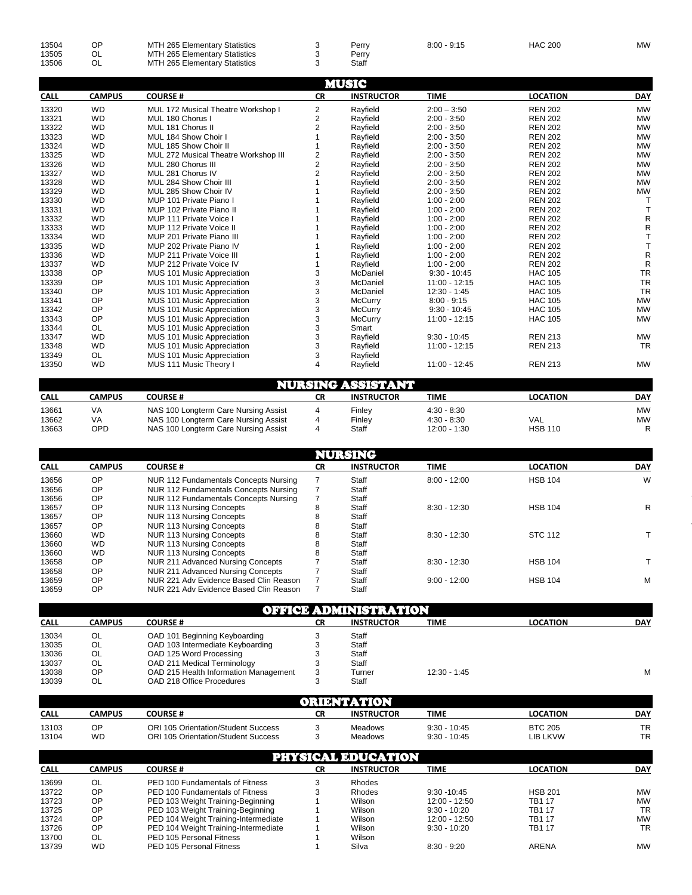| 13504<br><b>HAC 200</b><br>ОP<br>MTH 265 Elementary Statistics<br>$8:00 - 9:15$<br>Perrv<br>OL<br>13505<br>MTH 265 Elementary Statistics<br>Perrv<br>OL<br>13506<br>Staff<br>MTH 265 Elementary Statistics | MW |
|------------------------------------------------------------------------------------------------------------------------------------------------------------------------------------------------------------|----|
|------------------------------------------------------------------------------------------------------------------------------------------------------------------------------------------------------------|----|

| <b>CALL</b> |               |                                      |                |                   |                 |                 |            |
|-------------|---------------|--------------------------------------|----------------|-------------------|-----------------|-----------------|------------|
|             | <b>CAMPUS</b> | <b>COURSE#</b>                       | <b>CR</b>      | <b>INSTRUCTOR</b> | <b>TIME</b>     | <b>LOCATION</b> | <b>DAY</b> |
| 13320       | <b>WD</b>     | MUL 172 Musical Theatre Workshop I   | 2              | Rayfield          | $2:00 - 3:50$   | <b>REN 202</b>  | <b>MW</b>  |
| 13321       | <b>WD</b>     | MUL 180 Chorus I                     | $\overline{2}$ | Rayfield          | $2:00 - 3:50$   | <b>REN 202</b>  | <b>MW</b>  |
| 13322       | <b>WD</b>     | MUL 181 Chorus II                    | $\overline{2}$ | Rayfield          | $2:00 - 3:50$   | <b>REN 202</b>  | <b>MW</b>  |
| 13323       | <b>WD</b>     | MUL 184 Show Choir I                 |                | Rayfield          | $2:00 - 3:50$   | <b>REN 202</b>  | <b>MW</b>  |
| 13324       | <b>WD</b>     | MUL 185 Show Choir II                |                | Rayfield          | $2:00 - 3:50$   | <b>REN 202</b>  | <b>MW</b>  |
| 13325       | <b>WD</b>     | MUL 272 Musical Theatre Workshop III | 2              | Rayfield          | $2:00 - 3:50$   | <b>REN 202</b>  | <b>MW</b>  |
| 13326       | <b>WD</b>     | MUL 280 Chorus III                   | $\overline{2}$ | Rayfield          | $2:00 - 3:50$   | <b>REN 202</b>  | <b>MW</b>  |
| 13327       | <b>WD</b>     | MUL 281 Chorus IV                    | $\overline{2}$ | Rayfield          | $2:00 - 3:50$   | <b>REN 202</b>  | <b>MW</b>  |
| 13328       | <b>WD</b>     | MUL 284 Show Choir III               |                | Rayfield          | $2:00 - 3:50$   | <b>REN 202</b>  | <b>MW</b>  |
| 13329       | <b>WD</b>     | MUL 285 Show Choir IV                |                | Rayfield          | $2:00 - 3:50$   | <b>REN 202</b>  | <b>MW</b>  |
| 13330       | <b>WD</b>     | MUP 101 Private Piano I              |                | Rayfield          | $1:00 - 2:00$   | <b>REN 202</b>  |            |
| 13331       | <b>WD</b>     | MUP 102 Private Piano II             |                | Rayfield          | $1:00 - 2:00$   | <b>REN 202</b>  |            |
| 13332       | <b>WD</b>     | MUP 111 Private Voice I              |                | Rayfield          | $1:00 - 2:00$   | <b>REN 202</b>  | R          |
| 13333       | <b>WD</b>     | MUP 112 Private Voice II             |                | Rayfield          | $1:00 - 2:00$   | <b>REN 202</b>  | R          |
| 13334       | <b>WD</b>     | MUP 201 Private Piano III            |                | Rayfield          | $1:00 - 2:00$   | <b>REN 202</b>  |            |
| 13335       | <b>WD</b>     | MUP 202 Private Piano IV             |                | Rayfield          | $1:00 - 2:00$   | <b>REN 202</b>  |            |
| 13336       | <b>WD</b>     | MUP 211 Private Voice III            |                | Rayfield          | $1:00 - 2:00$   | <b>REN 202</b>  | R          |
| 13337       | <b>WD</b>     | MUP 212 Private Voice IV             |                | Rayfield          | $1:00 - 2:00$   | <b>REN 202</b>  | R          |
| 13338       | OP            | MUS 101 Music Appreciation           | 3              | McDaniel          | $9:30 - 10:45$  | <b>HAC 105</b>  | <b>TR</b>  |
| 13339       | OP            | MUS 101 Music Appreciation           | 3              | McDaniel          | $11:00 - 12:15$ | <b>HAC 105</b>  | <b>TR</b>  |
| 13340       | OP            | MUS 101 Music Appreciation           | 3              | McDaniel          | $12:30 - 1:45$  | <b>HAC 105</b>  | <b>TR</b>  |
| 13341       | OP            | MUS 101 Music Appreciation           | 3              | McCurry           | $8:00 - 9:15$   | <b>HAC 105</b>  | <b>MW</b>  |
| 13342       | OP            | MUS 101 Music Appreciation           | 3              | McCurry           | $9:30 - 10:45$  | <b>HAC 105</b>  | <b>MW</b>  |
| 13343       | OP            | MUS 101 Music Appreciation           | 3              | <b>McCurry</b>    | $11:00 - 12:15$ | <b>HAC 105</b>  | <b>MW</b>  |
| 13344       | <b>OL</b>     | MUS 101 Music Appreciation           | 3              | Smart             |                 |                 |            |
| 13347       | <b>WD</b>     | MUS 101 Music Appreciation           | 3              | Rayfield          | $9:30 - 10:45$  | <b>REN 213</b>  | <b>MW</b>  |
| 13348       | <b>WD</b>     | MUS 101 Music Appreciation           | 3              | Rayfield          | 11:00 - 12:15   | <b>REN 213</b>  | <b>TR</b>  |
| 13349       | <b>OL</b>     | MUS 101 Music Appreciation           | 3              | Rayfield          |                 |                 |            |
| 13350       | <b>WD</b>     | MUS 111 Music Theory I               | 4              | Rayfield          | 11:00 - 12:45   | <b>REN 213</b>  | <b>MW</b>  |

| NURSING ASSISTANT |        |                                      |    |                   |               |                 |            |  |  |  |
|-------------------|--------|--------------------------------------|----|-------------------|---------------|-----------------|------------|--|--|--|
| <b>CALL</b>       | CAMPUS | <b>COURSE #</b>                      | СR | <b>INSTRUCTOR</b> | TIME          | <b>LOCATION</b> | <b>DAY</b> |  |  |  |
| 13661             | VA     | NAS 100 Longterm Care Nursing Assist |    | Finlev            | $4:30 - 8:30$ |                 | <b>MW</b>  |  |  |  |
| 13662             | VA     | NAS 100 Longterm Care Nursing Assist |    | Finlev            | $4:30 - 8:30$ | <b>VAL</b>      | <b>MW</b>  |  |  |  |
| 13663             | OPD    | NAS 100 Longterm Care Nursing Assist |    | Staff             | 12:00 - 1:30  | <b>HSB 110</b>  |            |  |  |  |

|             |               |                                        |           | NURSING           |                |                 |            |
|-------------|---------------|----------------------------------------|-----------|-------------------|----------------|-----------------|------------|
| <b>CALL</b> | <b>CAMPUS</b> | <b>COURSE#</b>                         | <b>CR</b> | <b>INSTRUCTOR</b> | <b>TIME</b>    | <b>LOCATION</b> | <b>DAY</b> |
| 13656       | <b>OP</b>     | NUR 112 Fundamentals Concepts Nursing  |           | Staff             | $8:00 - 12:00$ | <b>HSB 104</b>  | W          |
| 13656       | OP            | NUR 112 Fundamentals Concepts Nursing  |           | Staff             |                |                 |            |
| 13656       | OP            | NUR 112 Fundamentals Concepts Nursing  |           | Staff             |                |                 |            |
| 13657       | OP            | <b>NUR 113 Nursing Concepts</b>        |           | Staff             | $8:30 - 12:30$ | <b>HSB 104</b>  | R          |
| 13657       | <b>OP</b>     | <b>NUR 113 Nursing Concepts</b>        |           | Staff             |                |                 |            |
| 13657       | OP            | <b>NUR 113 Nursing Concepts</b>        |           | Staff             |                |                 |            |
| 13660       | <b>WD</b>     | <b>NUR 113 Nursing Concepts</b>        |           | Staff             | $8:30 - 12:30$ | <b>STC 112</b>  |            |
| 13660       | <b>WD</b>     | <b>NUR 113 Nursing Concepts</b>        |           | Staff             |                |                 |            |
| 13660       | <b>WD</b>     | NUR 113 Nursing Concepts               |           | Staff             |                |                 |            |
| 13658       | OP            | NUR 211 Advanced Nursing Concepts      |           | Staff             | $8:30 - 12:30$ | <b>HSB 104</b>  |            |
| 13658       | OP            | NUR 211 Advanced Nursing Concepts      |           | Staff             |                |                 |            |
| 13659       | OP            | NUR 221 Adv Evidence Based Clin Reason |           | Staff             | $9:00 - 12:00$ | <b>HSB 104</b>  | M          |
| 13659       | OP            | NUR 221 Adv Evidence Based Clin Reason |           | Staff             |                |                 |            |

|             | <b>OFFICE ADMINISTRATION</b> |                                       |    |                   |                |                 |            |  |  |  |  |
|-------------|------------------------------|---------------------------------------|----|-------------------|----------------|-----------------|------------|--|--|--|--|
| <b>CALL</b> | CAMPUS                       | <b>COURSE#</b>                        | CR | <b>INSTRUCTOR</b> | TIME           | <b>LOCATION</b> | <b>DAY</b> |  |  |  |  |
| 13034       | OL                           | OAD 101 Beginning Keyboarding         |    | Staff             |                |                 |            |  |  |  |  |
| 13035       | OL                           | OAD 103 Intermediate Keyboarding      |    | Staff             |                |                 |            |  |  |  |  |
| 13036       | OL                           | OAD 125 Word Processing               |    | Staff             |                |                 |            |  |  |  |  |
| 13037       | OL                           | OAD 211 Medical Terminology           |    | Staff             |                |                 |            |  |  |  |  |
| 13038       | ΟP                           | OAD 215 Health Information Management |    | Turner            | $12:30 - 1:45$ |                 | м          |  |  |  |  |
| 13039       | OL                           | OAD 218 Office Procedures             |    | Staff             |                |                 |            |  |  |  |  |

| ORIENTATION    |          |                                                                            |    |                    |                                  |                            |          |  |
|----------------|----------|----------------------------------------------------------------------------|----|--------------------|----------------------------------|----------------------------|----------|--|
| <b>CALL</b>    | CAMPUS   | <b>COURSE #</b>                                                            | СR | <b>INSTRUCTOR</b>  | TIME                             | <b>LOCATION</b>            | DAY      |  |
| 13103<br>13104 | ОP<br>WD | ORI 105 Orientation/Student Success<br>ORI 105 Orientation/Student Success |    | Meadows<br>Meadows | $9:30 - 10:45$<br>$9:30 - 10:45$ | <b>BTC 205</b><br>LIB LKVW | TR<br>TR |  |

|             |           |                                      |    | <b>PHYSICAL EDUCATION</b> |                 |                 |            |
|-------------|-----------|--------------------------------------|----|---------------------------|-----------------|-----------------|------------|
| <b>CALL</b> | CAMPUS    | <b>COURSE#</b>                       | СR | <b>INSTRUCTOR</b>         | <b>TIME</b>     | <b>LOCATION</b> | <b>DAY</b> |
| 13699       | OL        | PED 100 Fundamentals of Fitness      |    | Rhodes                    |                 |                 |            |
| 13722       | OP        | PED 100 Fundamentals of Fitness      |    | Rhodes                    | $9:30 - 10:45$  | <b>HSB 201</b>  | <b>MW</b>  |
| 13723       | OP        | PED 103 Weight Training-Beginning    |    | Wilson                    | $12:00 - 12:50$ | <b>TB117</b>    | <b>MW</b>  |
| 13725       | OP        | PED 103 Weight Training-Beginning    |    | Wilson                    | $9:30 - 10:20$  | <b>TB117</b>    | <b>TR</b>  |
| 13724       | OP        | PED 104 Weight Training-Intermediate |    | Wilson                    | $12:00 - 12:50$ | <b>TB117</b>    | <b>MW</b>  |
| 13726       | OP        | PED 104 Weight Training-Intermediate |    | Wilson                    | $9:30 - 10:20$  | TB1 17          | <b>TR</b>  |
| 13700       | OL        | PED 105 Personal Fitness             |    | Wilson                    |                 |                 |            |
| 13739       | <b>WD</b> | PED 105 Personal Fitness             |    | Silva                     | $8:30 - 9:20$   | ARENA           | <b>MW</b>  |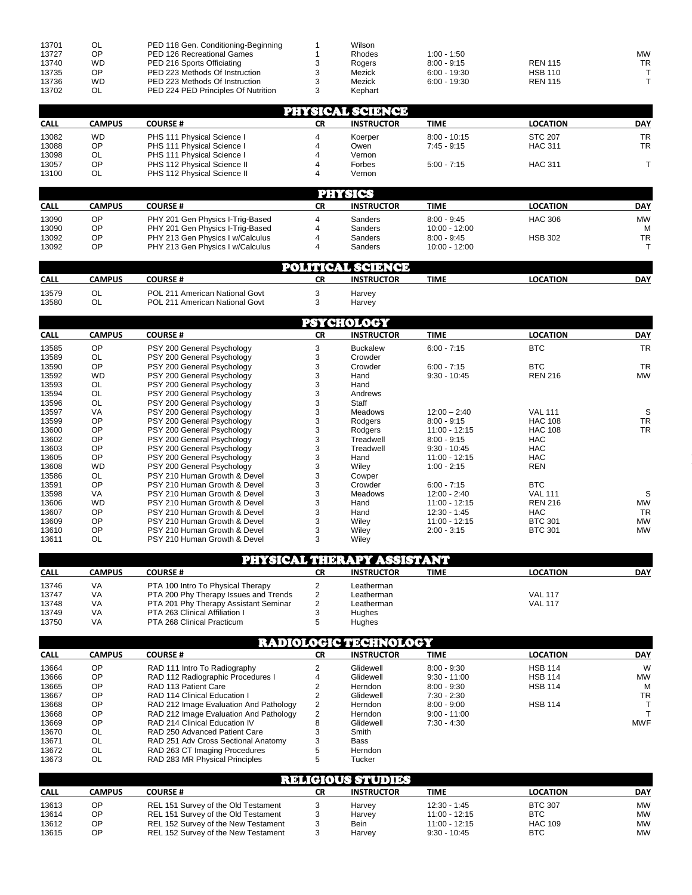| 13701 | <b>OL</b> | PED 118 Gen. Conditioning-Beginning | Wilson  |                |                |           |
|-------|-----------|-------------------------------------|---------|----------------|----------------|-----------|
| 13727 | OP        | PED 126 Recreational Games          | Rhodes  | $1:00 - 1:50$  |                | <b>MW</b> |
| 13740 | WD        | PED 216 Sports Officiating          | Rogers  | $8:00 - 9:15$  | <b>REN 115</b> | <b>TR</b> |
| 13735 | ΟP        | PED 223 Methods Of Instruction      | Mezick  | $6:00 - 19:30$ | <b>HSB 110</b> |           |
| 13736 | WD        | PED 223 Methods Of Instruction      | Mezick  | $6:00 - 19:30$ | <b>REN 115</b> |           |
| 13702 | OL.       | PED 224 PED Principles Of Nutrition | Kephart |                |                |           |

|             | PHYSICAL SCIENCE |                             |    |                   |                |                 |            |  |  |  |  |
|-------------|------------------|-----------------------------|----|-------------------|----------------|-----------------|------------|--|--|--|--|
| <b>CALL</b> | CAMPUS           | <b>COURSE#</b>              | СR | <b>INSTRUCTOR</b> | <b>TIME</b>    | <b>LOCATION</b> | <b>DAY</b> |  |  |  |  |
| 13082       | WD               | PHS 111 Physical Science I  |    | Koerper           | $8:00 - 10:15$ | <b>STC 207</b>  | TR         |  |  |  |  |
| 13088       | OP               | PHS 111 Physical Science I  |    | Owen              | $7:45 - 9:15$  | <b>HAC 311</b>  | TR         |  |  |  |  |
| 13098       | OL               | PHS 111 Physical Science I  |    | Vernon            |                |                 |            |  |  |  |  |
| 13057       | ОP               | PHS 112 Physical Science II |    | Forbes            | $5:00 - 7:15$  | <b>HAC 311</b>  |            |  |  |  |  |
| 13100       | OL               | PHS 112 Physical Science II |    | Vernon            |                |                 |            |  |  |  |  |

|                |          |                                                                      | PINGICS |                    |                                  |                 |         |  |
|----------------|----------|----------------------------------------------------------------------|---------|--------------------|----------------------------------|-----------------|---------|--|
| <b>CALL</b>    | CAMPUS   | <b>COURSE #</b>                                                      | СR      | <b>INSTRUCTOR</b>  | TIME                             | <b>LOCATION</b> | DAY     |  |
| 13090          | OΡ       | PHY 201 Gen Physics I-Trig-Based                                     |         | Sanders            | $8:00 - 9:45$                    | HAC 306         | MW      |  |
| 13090<br>13092 | ОP<br>ΟP | PHY 201 Gen Physics I-Trig-Based<br>PHY 213 Gen Physics I w/Calculus |         | Sanders<br>Sanders | $10:00 - 12:00$<br>$8:00 - 9:45$ | <b>HSB 302</b>  | м<br>TR |  |
| 13092          | ОP       | PHY 213 Gen Physics I w/Calculus                                     |         | Sanders            | $10:00 - 12:00$                  |                 |         |  |

|             | <b>POLITICAL SCIENCE</b> |                                |    |                   |      |                 |            |  |  |
|-------------|--------------------------|--------------------------------|----|-------------------|------|-----------------|------------|--|--|
| <b>CALL</b> | CAMPUS                   | <b>COURSE #</b>                | СR | <b>INSTRUCTOR</b> | TIME | <b>LOCATION</b> | <b>DAY</b> |  |  |
| 13579       | $\sim$<br>◡∟             | POL 211 American National Govt |    | Harvev            |      |                 |            |  |  |
| 13580       | $\sim$<br>◡∟             | POL 211 American National Govt |    | Harvey            |      |                 |            |  |  |

| <b>PSYCHOLOGY</b> |               |                              |           |                   |                 |                 |            |  |  |  |
|-------------------|---------------|------------------------------|-----------|-------------------|-----------------|-----------------|------------|--|--|--|
| <b>CALL</b>       | <b>CAMPUS</b> | <b>COURSE#</b>               | <b>CR</b> | <b>INSTRUCTOR</b> | <b>TIME</b>     | <b>LOCATION</b> | <b>DAY</b> |  |  |  |
| 13585             | OP            | PSY 200 General Psychology   | 3         | <b>Buckalew</b>   | $6:00 - 7:15$   | <b>BTC</b>      | <b>TR</b>  |  |  |  |
| 13589             | OL            | PSY 200 General Psychology   | 3         | Crowder           |                 |                 |            |  |  |  |
| 13590             | OP            | PSY 200 General Psychology   | 3         | Crowder           | $6:00 - 7:15$   | <b>BTC</b>      | <b>TR</b>  |  |  |  |
| 13592             | <b>WD</b>     | PSY 200 General Psychology   | 3         | Hand              | $9:30 - 10:45$  | <b>REN 216</b>  | <b>MW</b>  |  |  |  |
| 13593             | OL            | PSY 200 General Psychology   | 3         | Hand              |                 |                 |            |  |  |  |
| 13594             | OL            | PSY 200 General Psychology   | 3         | Andrews           |                 |                 |            |  |  |  |
| 13596             | OL            | PSY 200 General Psychology   | 3         | Staff             |                 |                 |            |  |  |  |
| 13597             | VA            | PSY 200 General Psychology   |           | <b>Meadows</b>    | $12:00 - 2:40$  | <b>VAL 111</b>  | S          |  |  |  |
| 13599             | OP            | PSY 200 General Psychology   |           | Rodgers           | $8:00 - 9:15$   | <b>HAC 108</b>  | <b>TR</b>  |  |  |  |
| 13600             | OP            | PSY 200 General Psychology   | 3         | Rodgers           | $11:00 - 12:15$ | <b>HAC 108</b>  | <b>TR</b>  |  |  |  |
| 13602             | OP            | PSY 200 General Psychology   | 3         | Treadwell         | $8:00 - 9:15$   | <b>HAC</b>      |            |  |  |  |
| 13603             | OP            | PSY 200 General Psychology   | 3         | Treadwell         | $9:30 - 10:45$  | <b>HAC</b>      |            |  |  |  |
| 13605             | OP            | PSY 200 General Psychology   | 3         | Hand              | 11:00 - 12:15   | <b>HAC</b>      |            |  |  |  |
| 13608             | <b>WD</b>     | PSY 200 General Psychology   |           | Wiley             | $1:00 - 2:15$   | <b>REN</b>      |            |  |  |  |
| 13586             | OL            | PSY 210 Human Growth & Devel |           | Cowper            |                 |                 |            |  |  |  |
| 13591             | OP            | PSY 210 Human Growth & Devel |           | Crowder           | $6:00 - 7:15$   | <b>BTC</b>      |            |  |  |  |
| 13598             | <b>VA</b>     | PSY 210 Human Growth & Devel |           | <b>Meadows</b>    | $12:00 - 2:40$  | <b>VAL 111</b>  | S          |  |  |  |
| 13606             | <b>WD</b>     | PSY 210 Human Growth & Devel | 3         | Hand              | 11:00 - 12:15   | <b>REN 216</b>  | <b>MW</b>  |  |  |  |
| 13607             | OP            | PSY 210 Human Growth & Devel | 3         | Hand              | $12:30 - 1:45$  | <b>HAC</b>      | <b>TR</b>  |  |  |  |
| 13609             | OP            | PSY 210 Human Growth & Devel | 3         | Wiley             | 11:00 - 12:15   | <b>BTC 301</b>  | <b>MW</b>  |  |  |  |
| 13610             | OP            | PSY 210 Human Growth & Devel | 3         | Wiley             | $2:00 - 3:15$   | <b>BTC 301</b>  | <b>MW</b>  |  |  |  |
| 13611             | OL            | PSY 210 Human Growth & Devel | 3         | Wiley             |                 |                 |            |  |  |  |

| PHYSICAL THERAPY ASSISTANT |        |                                       |    |                   |             |                 |            |  |
|----------------------------|--------|---------------------------------------|----|-------------------|-------------|-----------------|------------|--|
| <b>CALL</b>                | CAMPUS | <b>COURSE#</b>                        | СR | <b>INSTRUCTOR</b> | <b>TIME</b> | <b>LOCATION</b> | <b>DAY</b> |  |
| 13746                      | VA     | PTA 100 Intro To Physical Therapy     |    | Leatherman        |             |                 |            |  |
| 13747                      | VA     | PTA 200 Phy Therapy Issues and Trends |    | Leatherman        |             | <b>VAL 117</b>  |            |  |
| 13748                      | VA     | PTA 201 Phy Therapy Assistant Seminar |    | Leatherman        |             | <b>VAL 117</b>  |            |  |
| 13749                      | VA     | PTA 263 Clinical Affiliation I        |    | Hughes            |             |                 |            |  |
| 13750                      | VA     | PTA 268 Clinical Practicum            |    | <b>Hughes</b>     |             |                 |            |  |

|             | <b>RADIOLOGIC TECHNOLOGY</b> |                                        |           |                   |                |                 |            |  |  |  |
|-------------|------------------------------|----------------------------------------|-----------|-------------------|----------------|-----------------|------------|--|--|--|
| <b>CALL</b> | <b>CAMPUS</b>                | <b>COURSE#</b>                         | <b>CR</b> | <b>INSTRUCTOR</b> | <b>TIME</b>    | <b>LOCATION</b> | <b>DAY</b> |  |  |  |
| 13664       | <b>OP</b>                    | RAD 111 Intro To Radiography           |           | Glidewell         | $8:00 - 9:30$  | <b>HSB 114</b>  | W          |  |  |  |
| 13666       | <b>OP</b>                    | RAD 112 Radiographic Procedures I      |           | Glidewell         | $9:30 - 11:00$ | <b>HSB 114</b>  | <b>MW</b>  |  |  |  |
| 13665       | OP                           | RAD 113 Patient Care                   |           | Herndon           | $8:00 - 9:30$  | <b>HSB 114</b>  | М          |  |  |  |
| 13667       | <b>OP</b>                    | RAD 114 Clinical Education I           |           | Glidewell         | $7:30 - 2:30$  |                 | <b>TR</b>  |  |  |  |
| 13668       | OP                           | RAD 212 Image Evaluation And Pathology | 2         | Herndon           | $8:00 - 9:00$  | <b>HSB 114</b>  |            |  |  |  |
| 13668       | <b>OP</b>                    | RAD 212 Image Evaluation And Pathology | 2         | Herndon           | $9:00 - 11:00$ |                 |            |  |  |  |
| 13669       | <b>OP</b>                    | RAD 214 Clinical Education IV          | 8         | Glidewell         | $7:30 - 4:30$  |                 | <b>MWF</b> |  |  |  |
| 13670       | OL                           | RAD 250 Advanced Patient Care          |           | Smith             |                |                 |            |  |  |  |
| 13671       | OL.                          | RAD 251 Adv Cross Sectional Anatomy    | 3         | Bass              |                |                 |            |  |  |  |
| 13672       | OL                           | RAD 263 CT Imaging Procedures          | 5         | Herndon           |                |                 |            |  |  |  |
| 13673       | OL.                          | RAD 283 MR Physical Principles         | 5.        | Tucker            |                |                 |            |  |  |  |

|             | RENGORSTUDES  |                                     |    |                   |                |                 |           |  |  |  |
|-------------|---------------|-------------------------------------|----|-------------------|----------------|-----------------|-----------|--|--|--|
| <b>CALL</b> | <b>CAMPUS</b> | COURSE #                            | CR | <b>INSTRUCTOR</b> | TIME           | <b>LOCATION</b> | DAY       |  |  |  |
| 13613       | OΡ            | REL 151 Survey of the Old Testament |    | Harvey            | 12:30 - 1:45   | <b>BTC 307</b>  | MW        |  |  |  |
| 13614       | OΡ            | REL 151 Survey of the Old Testament |    | Harvey            | 11:00 - 12:15  | <b>BTC</b>      | MW        |  |  |  |
| 13612       | ОP            | REL 152 Survey of the New Testament |    | Bein              | 11:00 - 12:15  | <b>HAC 109</b>  | <b>MW</b> |  |  |  |
| 13615       | ОP            | REL 152 Survey of the New Testament |    | Harvey            | $9:30 - 10:45$ | <b>BTC</b>      | <b>MW</b> |  |  |  |